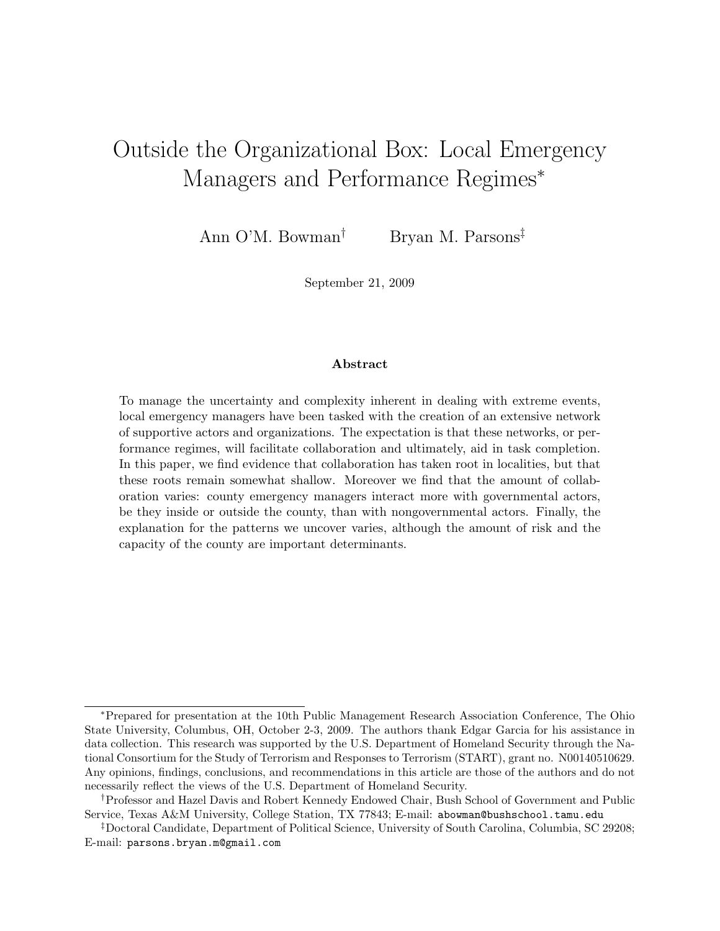# Outside the Organizational Box: Local Emergency Managers and Performance Regimes<sup>\*</sup>

Ann O'M. Bowman† Bryan M. Parsons‡

September 21, 2009

#### Abstract

To manage the uncertainty and complexity inherent in dealing with extreme events, local emergency managers have been tasked with the creation of an extensive network of supportive actors and organizations. The expectation is that these networks, or performance regimes, will facilitate collaboration and ultimately, aid in task completion. In this paper, we find evidence that collaboration has taken root in localities, but that these roots remain somewhat shallow. Moreover we find that the amount of collaboration varies: county emergency managers interact more with governmental actors, be they inside or outside the county, than with nongovernmental actors. Finally, the explanation for the patterns we uncover varies, although the amount of risk and the capacity of the county are important determinants.

<sup>∗</sup>Prepared for presentation at the 10th Public Management Research Association Conference, The Ohio State University, Columbus, OH, October 2-3, 2009. The authors thank Edgar Garcia for his assistance in data collection. This research was supported by the U.S. Department of Homeland Security through the National Consortium for the Study of Terrorism and Responses to Terrorism (START), grant no. N00140510629. Any opinions, findings, conclusions, and recommendations in this article are those of the authors and do not necessarily reflect the views of the U.S. Department of Homeland Security.

<sup>†</sup>Professor and Hazel Davis and Robert Kennedy Endowed Chair, Bush School of Government and Public Service, Texas A&M University, College Station, TX 77843; E-mail: abowman@bushschool.tamu.edu

<sup>‡</sup>Doctoral Candidate, Department of Political Science, University of South Carolina, Columbia, SC 29208; E-mail: parsons.bryan.m@gmail.com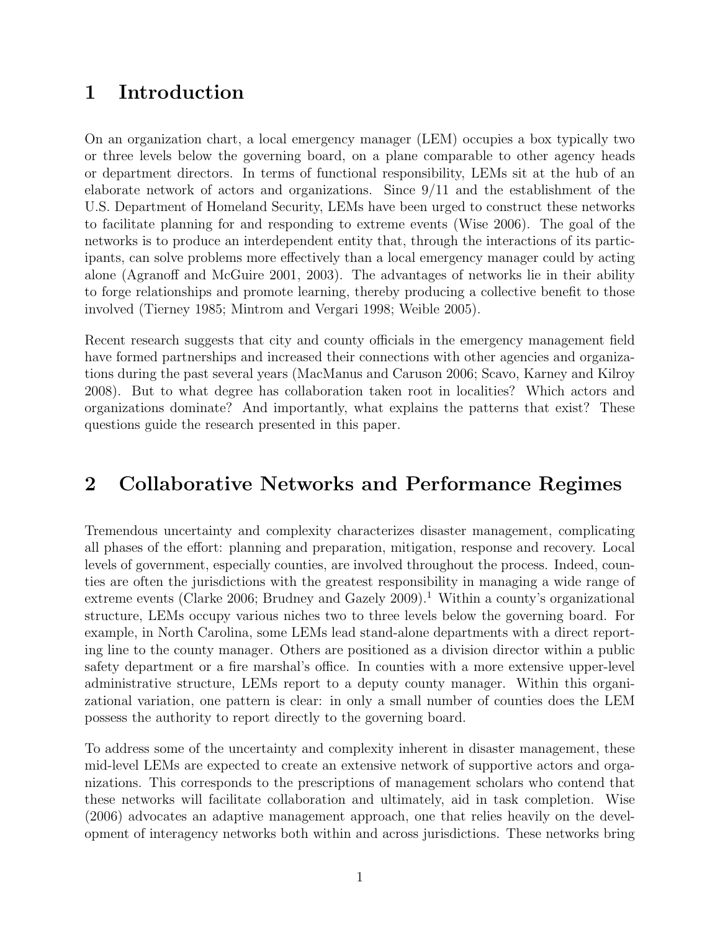## 1 Introduction

On an organization chart, a local emergency manager (LEM) occupies a box typically two or three levels below the governing board, on a plane comparable to other agency heads or department directors. In terms of functional responsibility, LEMs sit at the hub of an elaborate network of actors and organizations. Since 9/11 and the establishment of the U.S. Department of Homeland Security, LEMs have been urged to construct these networks to facilitate planning for and responding to extreme events (Wise 2006). The goal of the networks is to produce an interdependent entity that, through the interactions of its participants, can solve problems more effectively than a local emergency manager could by acting alone (Agranoff and McGuire 2001, 2003). The advantages of networks lie in their ability to forge relationships and promote learning, thereby producing a collective benefit to those involved (Tierney 1985; Mintrom and Vergari 1998; Weible 2005).

Recent research suggests that city and county officials in the emergency management field have formed partnerships and increased their connections with other agencies and organizations during the past several years (MacManus and Caruson 2006; Scavo, Karney and Kilroy 2008). But to what degree has collaboration taken root in localities? Which actors and organizations dominate? And importantly, what explains the patterns that exist? These questions guide the research presented in this paper.

# 2 Collaborative Networks and Performance Regimes

Tremendous uncertainty and complexity characterizes disaster management, complicating all phases of the effort: planning and preparation, mitigation, response and recovery. Local levels of government, especially counties, are involved throughout the process. Indeed, counties are often the jurisdictions with the greatest responsibility in managing a wide range of extreme events (Clarke 2006; Brudney and Gazely 2009).<sup>1</sup> Within a county's organizational structure, LEMs occupy various niches two to three levels below the governing board. For example, in North Carolina, some LEMs lead stand-alone departments with a direct reporting line to the county manager. Others are positioned as a division director within a public safety department or a fire marshal's office. In counties with a more extensive upper-level administrative structure, LEMs report to a deputy county manager. Within this organizational variation, one pattern is clear: in only a small number of counties does the LEM possess the authority to report directly to the governing board.

To address some of the uncertainty and complexity inherent in disaster management, these mid-level LEMs are expected to create an extensive network of supportive actors and organizations. This corresponds to the prescriptions of management scholars who contend that these networks will facilitate collaboration and ultimately, aid in task completion. Wise (2006) advocates an adaptive management approach, one that relies heavily on the development of interagency networks both within and across jurisdictions. These networks bring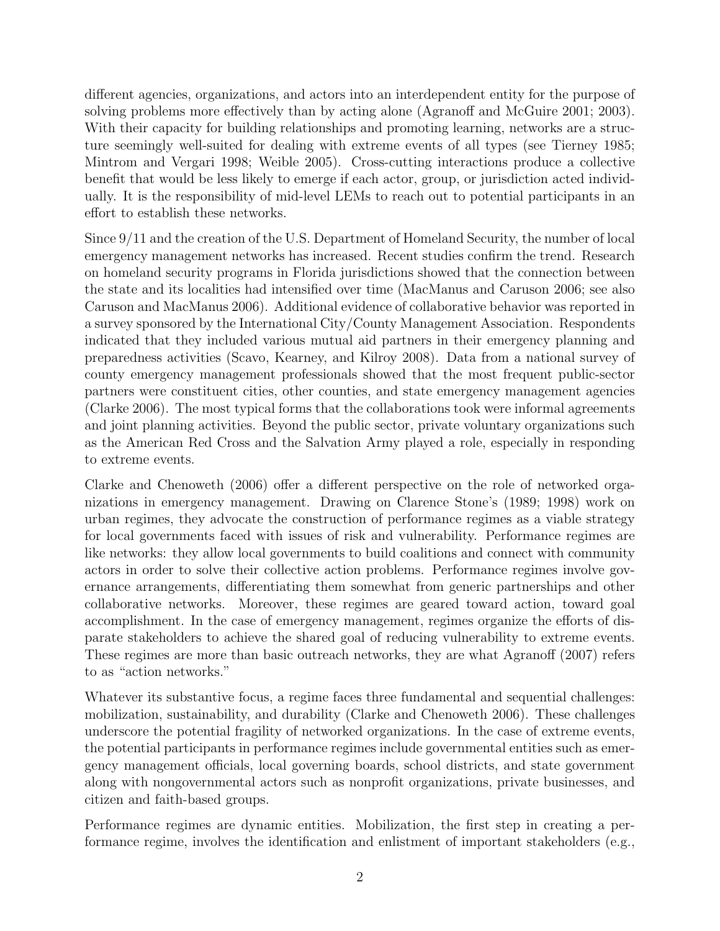different agencies, organizations, and actors into an interdependent entity for the purpose of solving problems more effectively than by acting alone (Agranoff and McGuire 2001; 2003). With their capacity for building relationships and promoting learning, networks are a structure seemingly well-suited for dealing with extreme events of all types (see Tierney 1985; Mintrom and Vergari 1998; Weible 2005). Cross-cutting interactions produce a collective benefit that would be less likely to emerge if each actor, group, or jurisdiction acted individually. It is the responsibility of mid-level LEMs to reach out to potential participants in an effort to establish these networks.

Since 9/11 and the creation of the U.S. Department of Homeland Security, the number of local emergency management networks has increased. Recent studies confirm the trend. Research on homeland security programs in Florida jurisdictions showed that the connection between the state and its localities had intensified over time (MacManus and Caruson 2006; see also Caruson and MacManus 2006). Additional evidence of collaborative behavior was reported in a survey sponsored by the International City/County Management Association. Respondents indicated that they included various mutual aid partners in their emergency planning and preparedness activities (Scavo, Kearney, and Kilroy 2008). Data from a national survey of county emergency management professionals showed that the most frequent public-sector partners were constituent cities, other counties, and state emergency management agencies (Clarke 2006). The most typical forms that the collaborations took were informal agreements and joint planning activities. Beyond the public sector, private voluntary organizations such as the American Red Cross and the Salvation Army played a role, especially in responding to extreme events.

Clarke and Chenoweth (2006) offer a different perspective on the role of networked organizations in emergency management. Drawing on Clarence Stone's (1989; 1998) work on urban regimes, they advocate the construction of performance regimes as a viable strategy for local governments faced with issues of risk and vulnerability. Performance regimes are like networks: they allow local governments to build coalitions and connect with community actors in order to solve their collective action problems. Performance regimes involve governance arrangements, differentiating them somewhat from generic partnerships and other collaborative networks. Moreover, these regimes are geared toward action, toward goal accomplishment. In the case of emergency management, regimes organize the efforts of disparate stakeholders to achieve the shared goal of reducing vulnerability to extreme events. These regimes are more than basic outreach networks, they are what Agranoff (2007) refers to as "action networks."

Whatever its substantive focus, a regime faces three fundamental and sequential challenges: mobilization, sustainability, and durability (Clarke and Chenoweth 2006). These challenges underscore the potential fragility of networked organizations. In the case of extreme events, the potential participants in performance regimes include governmental entities such as emergency management officials, local governing boards, school districts, and state government along with nongovernmental actors such as nonprofit organizations, private businesses, and citizen and faith-based groups.

Performance regimes are dynamic entities. Mobilization, the first step in creating a performance regime, involves the identification and enlistment of important stakeholders (e.g.,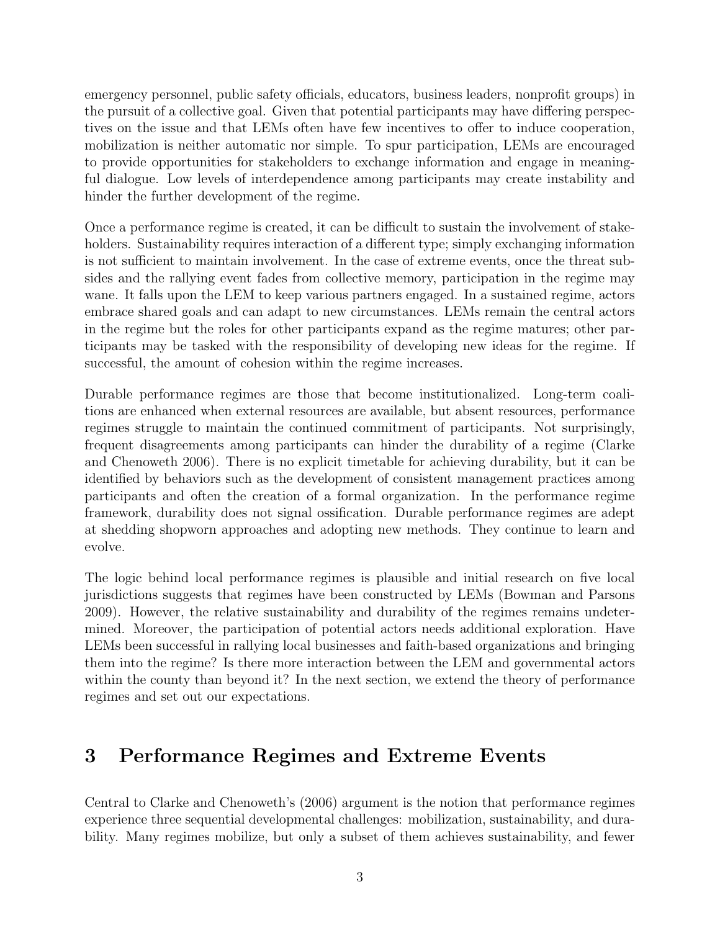emergency personnel, public safety officials, educators, business leaders, nonprofit groups) in the pursuit of a collective goal. Given that potential participants may have differing perspectives on the issue and that LEMs often have few incentives to offer to induce cooperation, mobilization is neither automatic nor simple. To spur participation, LEMs are encouraged to provide opportunities for stakeholders to exchange information and engage in meaningful dialogue. Low levels of interdependence among participants may create instability and hinder the further development of the regime.

Once a performance regime is created, it can be difficult to sustain the involvement of stakeholders. Sustainability requires interaction of a different type; simply exchanging information is not sufficient to maintain involvement. In the case of extreme events, once the threat subsides and the rallying event fades from collective memory, participation in the regime may wane. It falls upon the LEM to keep various partners engaged. In a sustained regime, actors embrace shared goals and can adapt to new circumstances. LEMs remain the central actors in the regime but the roles for other participants expand as the regime matures; other participants may be tasked with the responsibility of developing new ideas for the regime. If successful, the amount of cohesion within the regime increases.

Durable performance regimes are those that become institutionalized. Long-term coalitions are enhanced when external resources are available, but absent resources, performance regimes struggle to maintain the continued commitment of participants. Not surprisingly, frequent disagreements among participants can hinder the durability of a regime (Clarke and Chenoweth 2006). There is no explicit timetable for achieving durability, but it can be identified by behaviors such as the development of consistent management practices among participants and often the creation of a formal organization. In the performance regime framework, durability does not signal ossification. Durable performance regimes are adept at shedding shopworn approaches and adopting new methods. They continue to learn and evolve.

The logic behind local performance regimes is plausible and initial research on five local jurisdictions suggests that regimes have been constructed by LEMs (Bowman and Parsons 2009). However, the relative sustainability and durability of the regimes remains undetermined. Moreover, the participation of potential actors needs additional exploration. Have LEMs been successful in rallying local businesses and faith-based organizations and bringing them into the regime? Is there more interaction between the LEM and governmental actors within the county than beyond it? In the next section, we extend the theory of performance regimes and set out our expectations.

# 3 Performance Regimes and Extreme Events

Central to Clarke and Chenoweth's (2006) argument is the notion that performance regimes experience three sequential developmental challenges: mobilization, sustainability, and durability. Many regimes mobilize, but only a subset of them achieves sustainability, and fewer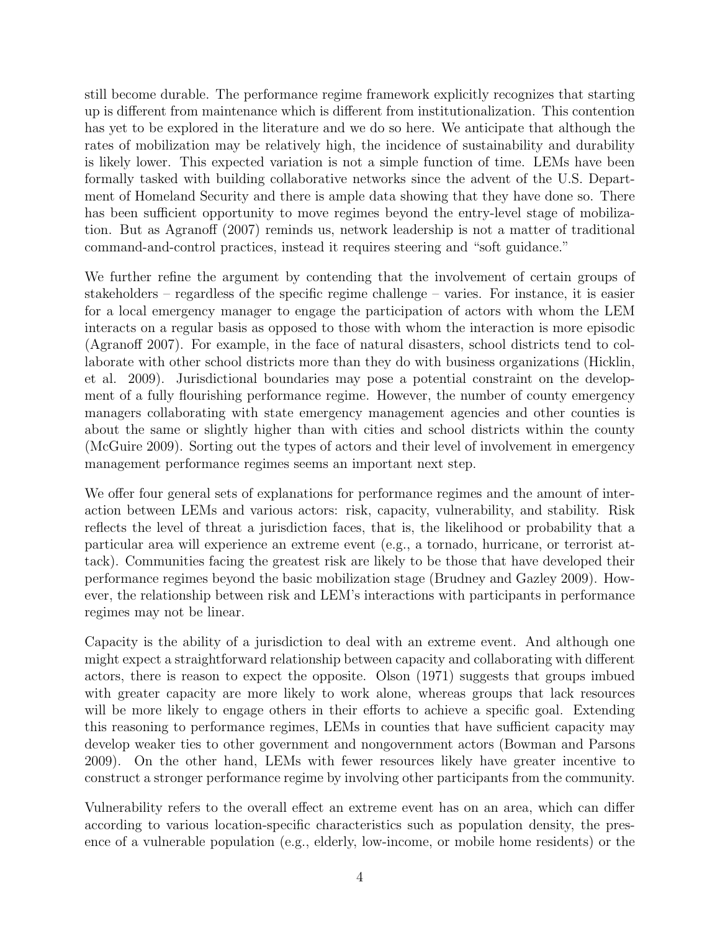still become durable. The performance regime framework explicitly recognizes that starting up is different from maintenance which is different from institutionalization. This contention has yet to be explored in the literature and we do so here. We anticipate that although the rates of mobilization may be relatively high, the incidence of sustainability and durability is likely lower. This expected variation is not a simple function of time. LEMs have been formally tasked with building collaborative networks since the advent of the U.S. Department of Homeland Security and there is ample data showing that they have done so. There has been sufficient opportunity to move regimes beyond the entry-level stage of mobilization. But as Agranoff (2007) reminds us, network leadership is not a matter of traditional command-and-control practices, instead it requires steering and "soft guidance."

We further refine the argument by contending that the involvement of certain groups of stakeholders – regardless of the specific regime challenge – varies. For instance, it is easier for a local emergency manager to engage the participation of actors with whom the LEM interacts on a regular basis as opposed to those with whom the interaction is more episodic (Agranoff 2007). For example, in the face of natural disasters, school districts tend to collaborate with other school districts more than they do with business organizations (Hicklin, et al. 2009). Jurisdictional boundaries may pose a potential constraint on the development of a fully flourishing performance regime. However, the number of county emergency managers collaborating with state emergency management agencies and other counties is about the same or slightly higher than with cities and school districts within the county (McGuire 2009). Sorting out the types of actors and their level of involvement in emergency management performance regimes seems an important next step.

We offer four general sets of explanations for performance regimes and the amount of interaction between LEMs and various actors: risk, capacity, vulnerability, and stability. Risk reflects the level of threat a jurisdiction faces, that is, the likelihood or probability that a particular area will experience an extreme event (e.g., a tornado, hurricane, or terrorist attack). Communities facing the greatest risk are likely to be those that have developed their performance regimes beyond the basic mobilization stage (Brudney and Gazley 2009). However, the relationship between risk and LEM's interactions with participants in performance regimes may not be linear.

Capacity is the ability of a jurisdiction to deal with an extreme event. And although one might expect a straightforward relationship between capacity and collaborating with different actors, there is reason to expect the opposite. Olson (1971) suggests that groups imbued with greater capacity are more likely to work alone, whereas groups that lack resources will be more likely to engage others in their efforts to achieve a specific goal. Extending this reasoning to performance regimes, LEMs in counties that have sufficient capacity may develop weaker ties to other government and nongovernment actors (Bowman and Parsons 2009). On the other hand, LEMs with fewer resources likely have greater incentive to construct a stronger performance regime by involving other participants from the community.

Vulnerability refers to the overall effect an extreme event has on an area, which can differ according to various location-specific characteristics such as population density, the presence of a vulnerable population (e.g., elderly, low-income, or mobile home residents) or the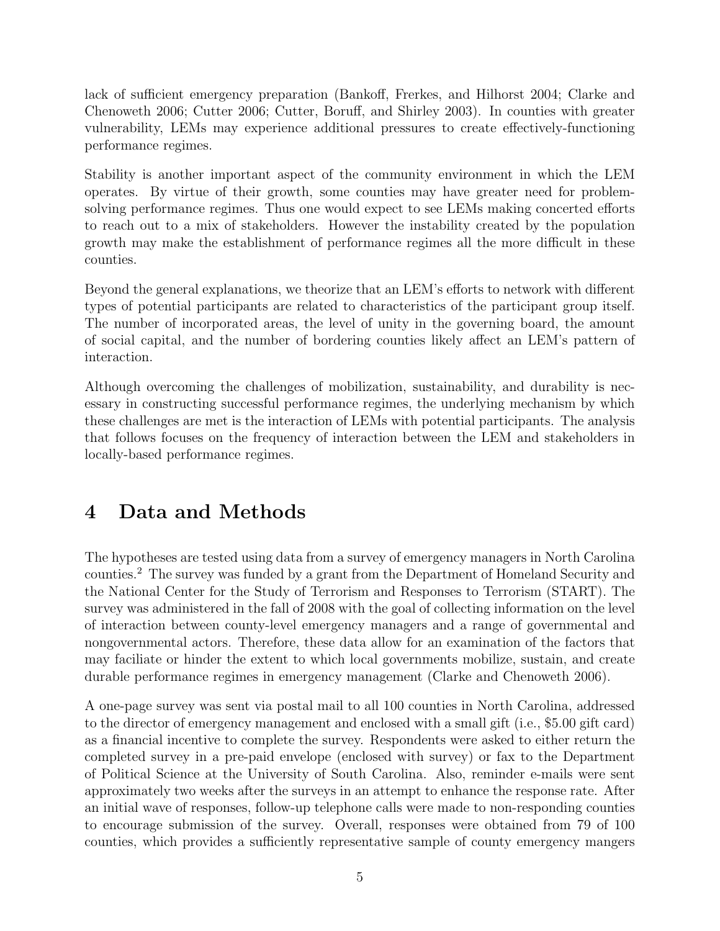lack of sufficient emergency preparation (Bankoff, Frerkes, and Hilhorst 2004; Clarke and Chenoweth 2006; Cutter 2006; Cutter, Boruff, and Shirley 2003). In counties with greater vulnerability, LEMs may experience additional pressures to create effectively-functioning performance regimes.

Stability is another important aspect of the community environment in which the LEM operates. By virtue of their growth, some counties may have greater need for problemsolving performance regimes. Thus one would expect to see LEMs making concerted efforts to reach out to a mix of stakeholders. However the instability created by the population growth may make the establishment of performance regimes all the more difficult in these counties.

Beyond the general explanations, we theorize that an LEM's efforts to network with different types of potential participants are related to characteristics of the participant group itself. The number of incorporated areas, the level of unity in the governing board, the amount of social capital, and the number of bordering counties likely affect an LEM's pattern of interaction.

Although overcoming the challenges of mobilization, sustainability, and durability is necessary in constructing successful performance regimes, the underlying mechanism by which these challenges are met is the interaction of LEMs with potential participants. The analysis that follows focuses on the frequency of interaction between the LEM and stakeholders in locally-based performance regimes.

# 4 Data and Methods

The hypotheses are tested using data from a survey of emergency managers in North Carolina counties.<sup>2</sup> The survey was funded by a grant from the Department of Homeland Security and the National Center for the Study of Terrorism and Responses to Terrorism (START). The survey was administered in the fall of 2008 with the goal of collecting information on the level of interaction between county-level emergency managers and a range of governmental and nongovernmental actors. Therefore, these data allow for an examination of the factors that may faciliate or hinder the extent to which local governments mobilize, sustain, and create durable performance regimes in emergency management (Clarke and Chenoweth 2006).

A one-page survey was sent via postal mail to all 100 counties in North Carolina, addressed to the director of emergency management and enclosed with a small gift (i.e., \$5.00 gift card) as a financial incentive to complete the survey. Respondents were asked to either return the completed survey in a pre-paid envelope (enclosed with survey) or fax to the Department of Political Science at the University of South Carolina. Also, reminder e-mails were sent approximately two weeks after the surveys in an attempt to enhance the response rate. After an initial wave of responses, follow-up telephone calls were made to non-responding counties to encourage submission of the survey. Overall, responses were obtained from 79 of 100 counties, which provides a sufficiently representative sample of county emergency mangers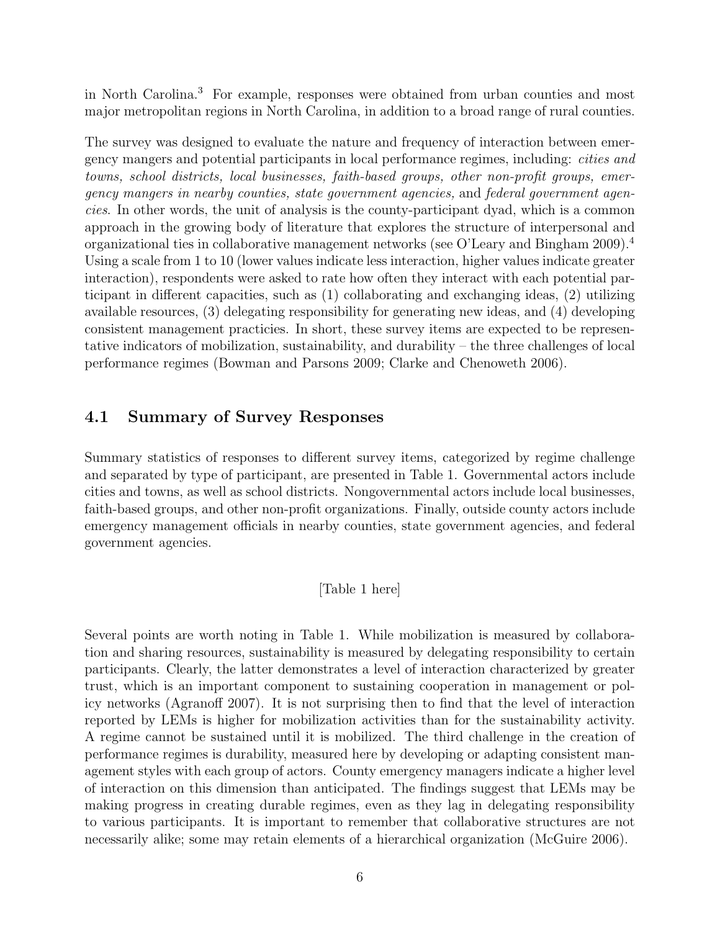in North Carolina.<sup>3</sup> For example, responses were obtained from urban counties and most major metropolitan regions in North Carolina, in addition to a broad range of rural counties.

The survey was designed to evaluate the nature and frequency of interaction between emergency mangers and potential participants in local performance regimes, including: cities and towns, school districts, local businesses, faith-based groups, other non-profit groups, emergency mangers in nearby counties, state government agencies, and federal government agencies. In other words, the unit of analysis is the county-participant dyad, which is a common approach in the growing body of literature that explores the structure of interpersonal and organizational ties in collaborative management networks (see O'Leary and Bingham 2009).<sup>4</sup> Using a scale from 1 to 10 (lower values indicate less interaction, higher values indicate greater interaction), respondents were asked to rate how often they interact with each potential participant in different capacities, such as (1) collaborating and exchanging ideas, (2) utilizing available resources, (3) delegating responsibility for generating new ideas, and (4) developing consistent management practicies. In short, these survey items are expected to be representative indicators of mobilization, sustainability, and durability – the three challenges of local performance regimes (Bowman and Parsons 2009; Clarke and Chenoweth 2006).

#### 4.1 Summary of Survey Responses

Summary statistics of responses to different survey items, categorized by regime challenge and separated by type of participant, are presented in Table 1. Governmental actors include cities and towns, as well as school districts. Nongovernmental actors include local businesses, faith-based groups, and other non-profit organizations. Finally, outside county actors include emergency management officials in nearby counties, state government agencies, and federal government agencies.

#### [Table 1 here]

Several points are worth noting in Table 1. While mobilization is measured by collaboration and sharing resources, sustainability is measured by delegating responsibility to certain participants. Clearly, the latter demonstrates a level of interaction characterized by greater trust, which is an important component to sustaining cooperation in management or policy networks (Agranoff 2007). It is not surprising then to find that the level of interaction reported by LEMs is higher for mobilization activities than for the sustainability activity. A regime cannot be sustained until it is mobilized. The third challenge in the creation of performance regimes is durability, measured here by developing or adapting consistent management styles with each group of actors. County emergency managers indicate a higher level of interaction on this dimension than anticipated. The findings suggest that LEMs may be making progress in creating durable regimes, even as they lag in delegating responsibility to various participants. It is important to remember that collaborative structures are not necessarily alike; some may retain elements of a hierarchical organization (McGuire 2006).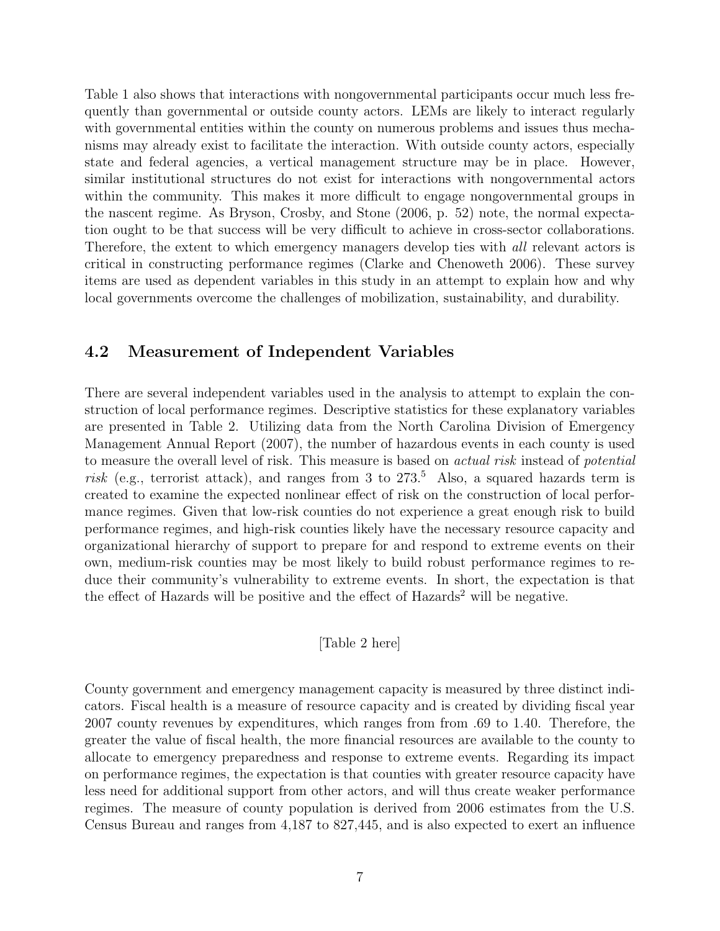Table 1 also shows that interactions with nongovernmental participants occur much less frequently than governmental or outside county actors. LEMs are likely to interact regularly with governmental entities within the county on numerous problems and issues thus mechanisms may already exist to facilitate the interaction. With outside county actors, especially state and federal agencies, a vertical management structure may be in place. However, similar institutional structures do not exist for interactions with nongovernmental actors within the community. This makes it more difficult to engage nongovernmental groups in the nascent regime. As Bryson, Crosby, and Stone (2006, p. 52) note, the normal expectation ought to be that success will be very difficult to achieve in cross-sector collaborations. Therefore, the extent to which emergency managers develop ties with all relevant actors is critical in constructing performance regimes (Clarke and Chenoweth 2006). These survey items are used as dependent variables in this study in an attempt to explain how and why local governments overcome the challenges of mobilization, sustainability, and durability.

#### 4.2 Measurement of Independent Variables

There are several independent variables used in the analysis to attempt to explain the construction of local performance regimes. Descriptive statistics for these explanatory variables are presented in Table 2. Utilizing data from the North Carolina Division of Emergency Management Annual Report (2007), the number of hazardous events in each county is used to measure the overall level of risk. This measure is based on actual risk instead of potential risk (e.g., terrorist attack), and ranges from 3 to  $273<sup>5</sup>$  Also, a squared hazards term is created to examine the expected nonlinear effect of risk on the construction of local performance regimes. Given that low-risk counties do not experience a great enough risk to build performance regimes, and high-risk counties likely have the necessary resource capacity and organizational hierarchy of support to prepare for and respond to extreme events on their own, medium-risk counties may be most likely to build robust performance regimes to reduce their community's vulnerability to extreme events. In short, the expectation is that the effect of Hazards will be positive and the effect of  $\rm\,Hazards^2$  will be negative.

[Table 2 here]

County government and emergency management capacity is measured by three distinct indicators. Fiscal health is a measure of resource capacity and is created by dividing fiscal year 2007 county revenues by expenditures, which ranges from from .69 to 1.40. Therefore, the greater the value of fiscal health, the more financial resources are available to the county to allocate to emergency preparedness and response to extreme events. Regarding its impact on performance regimes, the expectation is that counties with greater resource capacity have less need for additional support from other actors, and will thus create weaker performance regimes. The measure of county population is derived from 2006 estimates from the U.S. Census Bureau and ranges from 4,187 to 827,445, and is also expected to exert an influence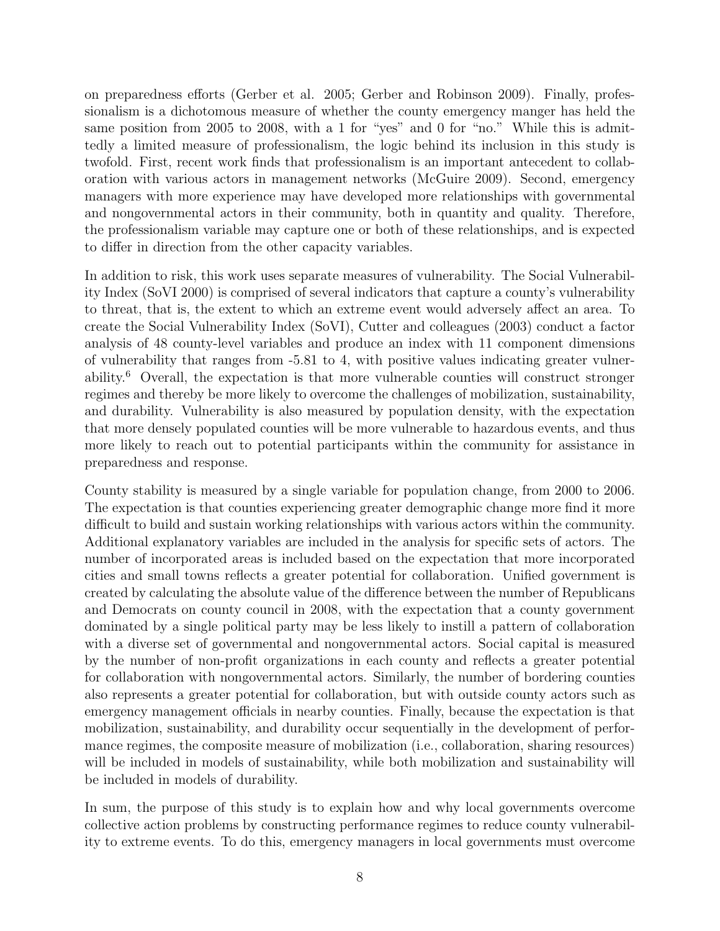on preparedness efforts (Gerber et al. 2005; Gerber and Robinson 2009). Finally, professionalism is a dichotomous measure of whether the county emergency manger has held the same position from 2005 to 2008, with a 1 for "yes" and 0 for "no." While this is admittedly a limited measure of professionalism, the logic behind its inclusion in this study is twofold. First, recent work finds that professionalism is an important antecedent to collaboration with various actors in management networks (McGuire 2009). Second, emergency managers with more experience may have developed more relationships with governmental and nongovernmental actors in their community, both in quantity and quality. Therefore, the professionalism variable may capture one or both of these relationships, and is expected to differ in direction from the other capacity variables.

In addition to risk, this work uses separate measures of vulnerability. The Social Vulnerability Index (SoVI 2000) is comprised of several indicators that capture a county's vulnerability to threat, that is, the extent to which an extreme event would adversely affect an area. To create the Social Vulnerability Index (SoVI), Cutter and colleagues (2003) conduct a factor analysis of 48 county-level variables and produce an index with 11 component dimensions of vulnerability that ranges from -5.81 to 4, with positive values indicating greater vulnerability.<sup>6</sup> Overall, the expectation is that more vulnerable counties will construct stronger regimes and thereby be more likely to overcome the challenges of mobilization, sustainability, and durability. Vulnerability is also measured by population density, with the expectation that more densely populated counties will be more vulnerable to hazardous events, and thus more likely to reach out to potential participants within the community for assistance in preparedness and response.

County stability is measured by a single variable for population change, from 2000 to 2006. The expectation is that counties experiencing greater demographic change more find it more difficult to build and sustain working relationships with various actors within the community. Additional explanatory variables are included in the analysis for specific sets of actors. The number of incorporated areas is included based on the expectation that more incorporated cities and small towns reflects a greater potential for collaboration. Unified government is created by calculating the absolute value of the difference between the number of Republicans and Democrats on county council in 2008, with the expectation that a county government dominated by a single political party may be less likely to instill a pattern of collaboration with a diverse set of governmental and nongovernmental actors. Social capital is measured by the number of non-profit organizations in each county and reflects a greater potential for collaboration with nongovernmental actors. Similarly, the number of bordering counties also represents a greater potential for collaboration, but with outside county actors such as emergency management officials in nearby counties. Finally, because the expectation is that mobilization, sustainability, and durability occur sequentially in the development of performance regimes, the composite measure of mobilization (i.e., collaboration, sharing resources) will be included in models of sustainability, while both mobilization and sustainability will be included in models of durability.

In sum, the purpose of this study is to explain how and why local governments overcome collective action problems by constructing performance regimes to reduce county vulnerability to extreme events. To do this, emergency managers in local governments must overcome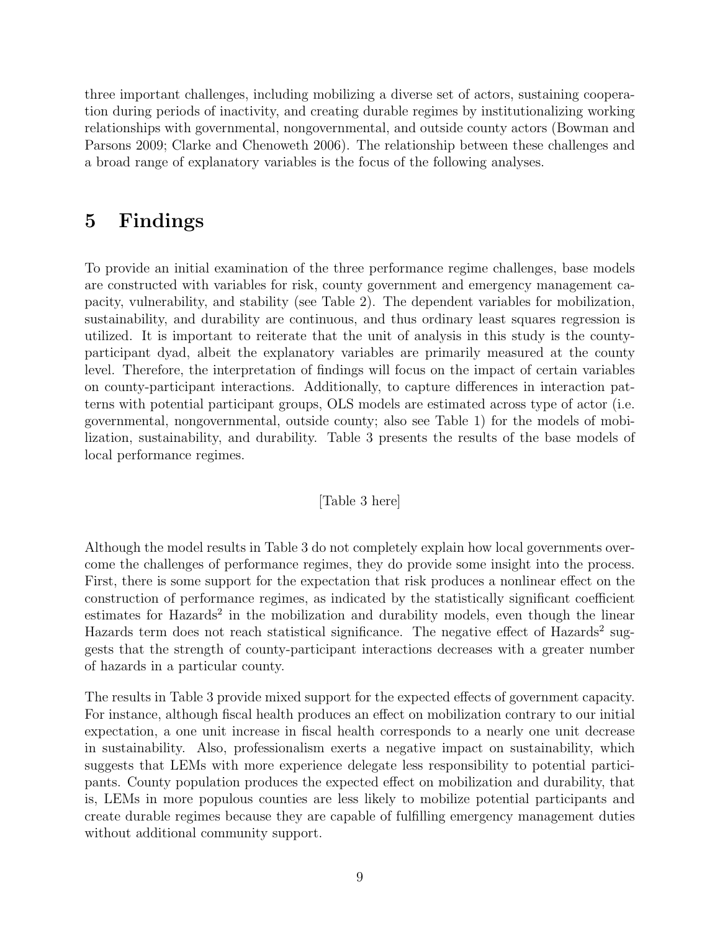three important challenges, including mobilizing a diverse set of actors, sustaining cooperation during periods of inactivity, and creating durable regimes by institutionalizing working relationships with governmental, nongovernmental, and outside county actors (Bowman and Parsons 2009; Clarke and Chenoweth 2006). The relationship between these challenges and a broad range of explanatory variables is the focus of the following analyses.

### 5 Findings

To provide an initial examination of the three performance regime challenges, base models are constructed with variables for risk, county government and emergency management capacity, vulnerability, and stability (see Table 2). The dependent variables for mobilization, sustainability, and durability are continuous, and thus ordinary least squares regression is utilized. It is important to reiterate that the unit of analysis in this study is the countyparticipant dyad, albeit the explanatory variables are primarily measured at the county level. Therefore, the interpretation of findings will focus on the impact of certain variables on county-participant interactions. Additionally, to capture differences in interaction patterns with potential participant groups, OLS models are estimated across type of actor (i.e. governmental, nongovernmental, outside county; also see Table 1) for the models of mobilization, sustainability, and durability. Table 3 presents the results of the base models of local performance regimes.

#### [Table 3 here]

Although the model results in Table 3 do not completely explain how local governments overcome the challenges of performance regimes, they do provide some insight into the process. First, there is some support for the expectation that risk produces a nonlinear effect on the construction of performance regimes, as indicated by the statistically significant coefficient estimates for Hazards<sup>2</sup> in the mobilization and durability models, even though the linear Hazards term does not reach statistical significance. The negative effect of Hazards<sup>2</sup> suggests that the strength of county-participant interactions decreases with a greater number of hazards in a particular county.

The results in Table 3 provide mixed support for the expected effects of government capacity. For instance, although fiscal health produces an effect on mobilization contrary to our initial expectation, a one unit increase in fiscal health corresponds to a nearly one unit decrease in sustainability. Also, professionalism exerts a negative impact on sustainability, which suggests that LEMs with more experience delegate less responsibility to potential participants. County population produces the expected effect on mobilization and durability, that is, LEMs in more populous counties are less likely to mobilize potential participants and create durable regimes because they are capable of fulfilling emergency management duties without additional community support.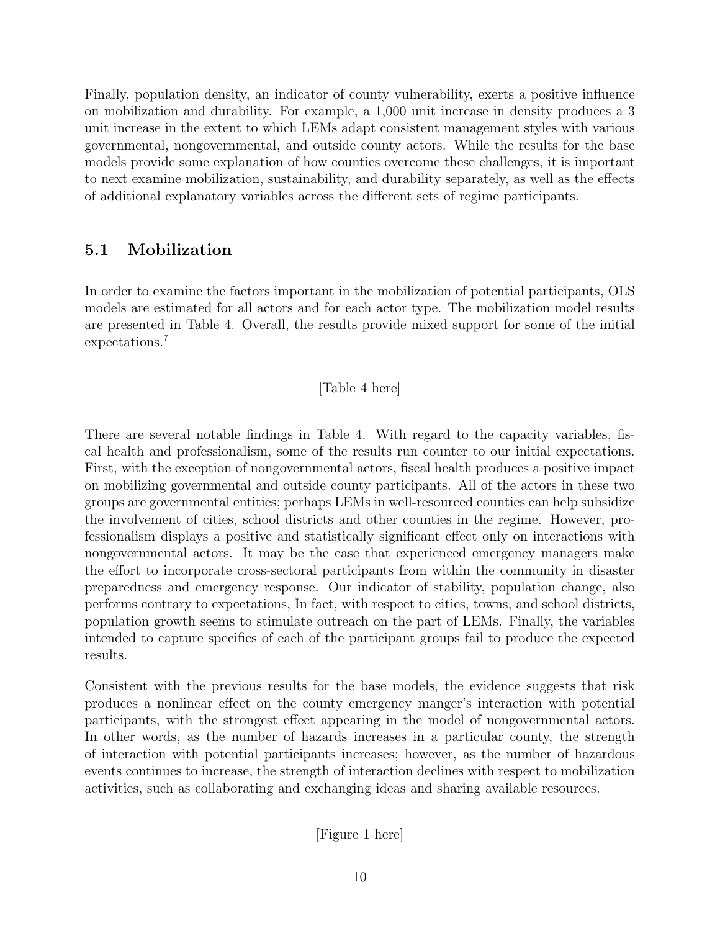Finally, population density, an indicator of county vulnerability, exerts a positive influence on mobilization and durability. For example, a 1,000 unit increase in density produces a 3 unit increase in the extent to which LEMs adapt consistent management styles with various governmental, nongovernmental, and outside county actors. While the results for the base models provide some explanation of how counties overcome these challenges, it is important to next examine mobilization, sustainability, and durability separately, as well as the effects of additional explanatory variables across the different sets of regime participants.

### 5.1 Mobilization

In order to examine the factors important in the mobilization of potential participants, OLS models are estimated for all actors and for each actor type. The mobilization model results are presented in Table 4. Overall, the results provide mixed support for some of the initial expectations.<sup>7</sup>

#### [Table 4 here]

There are several notable findings in Table 4. With regard to the capacity variables, fiscal health and professionalism, some of the results run counter to our initial expectations. First, with the exception of nongovernmental actors, fiscal health produces a positive impact on mobilizing governmental and outside county participants. All of the actors in these two groups are governmental entities; perhaps LEMs in well-resourced counties can help subsidize the involvement of cities, school districts and other counties in the regime. However, professionalism displays a positive and statistically significant effect only on interactions with nongovernmental actors. It may be the case that experienced emergency managers make the effort to incorporate cross-sectoral participants from within the community in disaster preparedness and emergency response. Our indicator of stability, population change, also performs contrary to expectations, In fact, with respect to cities, towns, and school districts, population growth seems to stimulate outreach on the part of LEMs. Finally, the variables intended to capture specifics of each of the participant groups fail to produce the expected results.

Consistent with the previous results for the base models, the evidence suggests that risk produces a nonlinear effect on the county emergency manger's interaction with potential participants, with the strongest effect appearing in the model of nongovernmental actors. In other words, as the number of hazards increases in a particular county, the strength of interaction with potential participants increases; however, as the number of hazardous events continues to increase, the strength of interaction declines with respect to mobilization activities, such as collaborating and exchanging ideas and sharing available resources.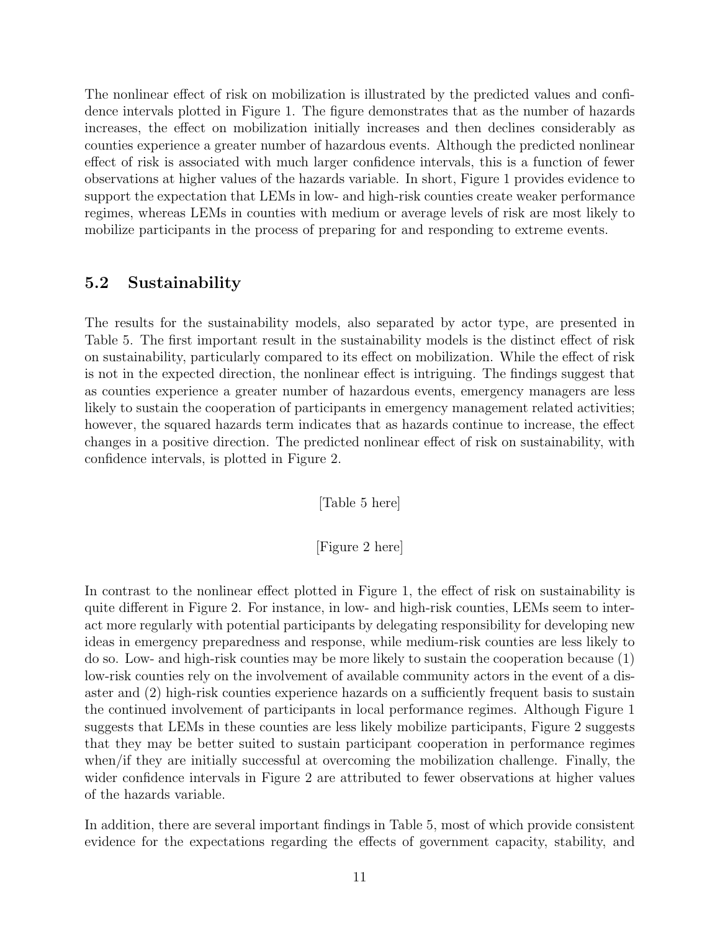The nonlinear effect of risk on mobilization is illustrated by the predicted values and confidence intervals plotted in Figure 1. The figure demonstrates that as the number of hazards increases, the effect on mobilization initially increases and then declines considerably as counties experience a greater number of hazardous events. Although the predicted nonlinear effect of risk is associated with much larger confidence intervals, this is a function of fewer observations at higher values of the hazards variable. In short, Figure 1 provides evidence to support the expectation that LEMs in low- and high-risk counties create weaker performance regimes, whereas LEMs in counties with medium or average levels of risk are most likely to mobilize participants in the process of preparing for and responding to extreme events.

### 5.2 Sustainability

The results for the sustainability models, also separated by actor type, are presented in Table 5. The first important result in the sustainability models is the distinct effect of risk on sustainability, particularly compared to its effect on mobilization. While the effect of risk is not in the expected direction, the nonlinear effect is intriguing. The findings suggest that as counties experience a greater number of hazardous events, emergency managers are less likely to sustain the cooperation of participants in emergency management related activities; however, the squared hazards term indicates that as hazards continue to increase, the effect changes in a positive direction. The predicted nonlinear effect of risk on sustainability, with confidence intervals, is plotted in Figure 2.

[Table 5 here]

[Figure 2 here]

In contrast to the nonlinear effect plotted in Figure 1, the effect of risk on sustainability is quite different in Figure 2. For instance, in low- and high-risk counties, LEMs seem to interact more regularly with potential participants by delegating responsibility for developing new ideas in emergency preparedness and response, while medium-risk counties are less likely to do so. Low- and high-risk counties may be more likely to sustain the cooperation because (1) low-risk counties rely on the involvement of available community actors in the event of a disaster and (2) high-risk counties experience hazards on a sufficiently frequent basis to sustain the continued involvement of participants in local performance regimes. Although Figure 1 suggests that LEMs in these counties are less likely mobilize participants, Figure 2 suggests that they may be better suited to sustain participant cooperation in performance regimes when/if they are initially successful at overcoming the mobilization challenge. Finally, the wider confidence intervals in Figure 2 are attributed to fewer observations at higher values of the hazards variable.

In addition, there are several important findings in Table 5, most of which provide consistent evidence for the expectations regarding the effects of government capacity, stability, and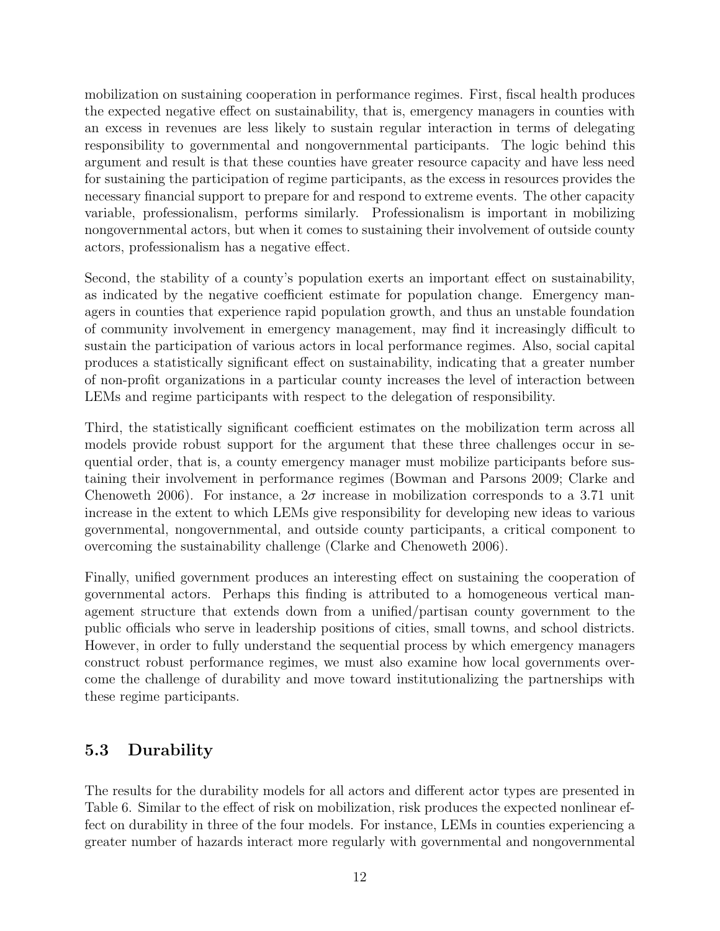mobilization on sustaining cooperation in performance regimes. First, fiscal health produces the expected negative effect on sustainability, that is, emergency managers in counties with an excess in revenues are less likely to sustain regular interaction in terms of delegating responsibility to governmental and nongovernmental participants. The logic behind this argument and result is that these counties have greater resource capacity and have less need for sustaining the participation of regime participants, as the excess in resources provides the necessary financial support to prepare for and respond to extreme events. The other capacity variable, professionalism, performs similarly. Professionalism is important in mobilizing nongovernmental actors, but when it comes to sustaining their involvement of outside county actors, professionalism has a negative effect.

Second, the stability of a county's population exerts an important effect on sustainability, as indicated by the negative coefficient estimate for population change. Emergency managers in counties that experience rapid population growth, and thus an unstable foundation of community involvement in emergency management, may find it increasingly difficult to sustain the participation of various actors in local performance regimes. Also, social capital produces a statistically significant effect on sustainability, indicating that a greater number of non-profit organizations in a particular county increases the level of interaction between LEMs and regime participants with respect to the delegation of responsibility.

Third, the statistically significant coefficient estimates on the mobilization term across all models provide robust support for the argument that these three challenges occur in sequential order, that is, a county emergency manager must mobilize participants before sustaining their involvement in performance regimes (Bowman and Parsons 2009; Clarke and Chenoweth 2006). For instance, a  $2\sigma$  increase in mobilization corresponds to a 3.71 unit increase in the extent to which LEMs give responsibility for developing new ideas to various governmental, nongovernmental, and outside county participants, a critical component to overcoming the sustainability challenge (Clarke and Chenoweth 2006).

Finally, unified government produces an interesting effect on sustaining the cooperation of governmental actors. Perhaps this finding is attributed to a homogeneous vertical management structure that extends down from a unified/partisan county government to the public officials who serve in leadership positions of cities, small towns, and school districts. However, in order to fully understand the sequential process by which emergency managers construct robust performance regimes, we must also examine how local governments overcome the challenge of durability and move toward institutionalizing the partnerships with these regime participants.

### 5.3 Durability

The results for the durability models for all actors and different actor types are presented in Table 6. Similar to the effect of risk on mobilization, risk produces the expected nonlinear effect on durability in three of the four models. For instance, LEMs in counties experiencing a greater number of hazards interact more regularly with governmental and nongovernmental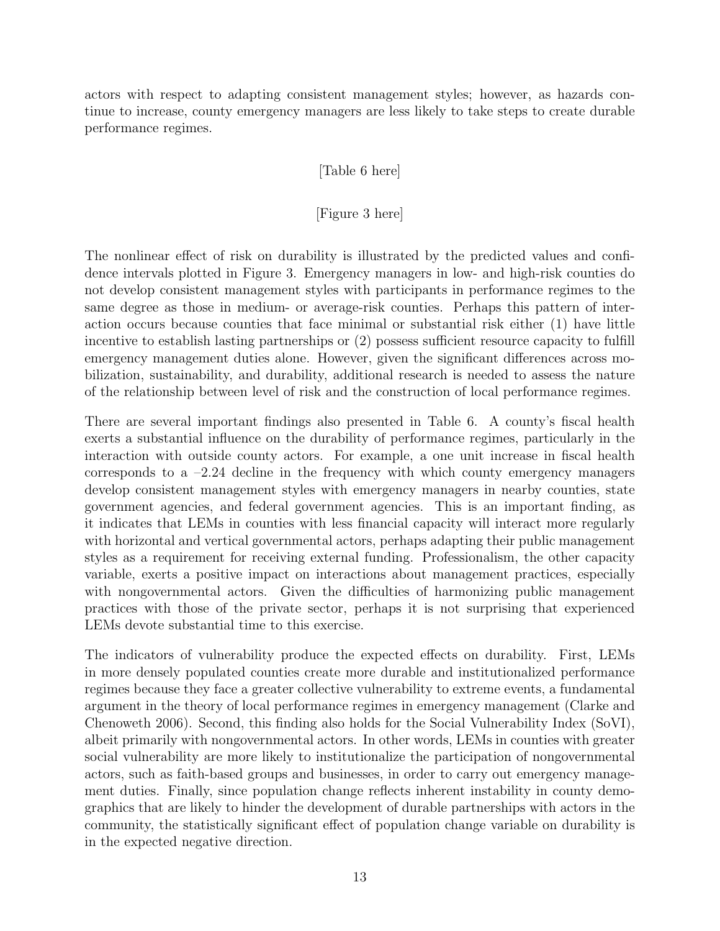actors with respect to adapting consistent management styles; however, as hazards continue to increase, county emergency managers are less likely to take steps to create durable performance regimes.

#### [Table 6 here]

#### [Figure 3 here]

The nonlinear effect of risk on durability is illustrated by the predicted values and confidence intervals plotted in Figure 3. Emergency managers in low- and high-risk counties do not develop consistent management styles with participants in performance regimes to the same degree as those in medium- or average-risk counties. Perhaps this pattern of interaction occurs because counties that face minimal or substantial risk either (1) have little incentive to establish lasting partnerships or (2) possess sufficient resource capacity to fulfill emergency management duties alone. However, given the significant differences across mobilization, sustainability, and durability, additional research is needed to assess the nature of the relationship between level of risk and the construction of local performance regimes.

There are several important findings also presented in Table 6. A county's fiscal health exerts a substantial influence on the durability of performance regimes, particularly in the interaction with outside county actors. For example, a one unit increase in fiscal health corresponds to a  $-2.24$  decline in the frequency with which county emergency managers develop consistent management styles with emergency managers in nearby counties, state government agencies, and federal government agencies. This is an important finding, as it indicates that LEMs in counties with less financial capacity will interact more regularly with horizontal and vertical governmental actors, perhaps adapting their public management styles as a requirement for receiving external funding. Professionalism, the other capacity variable, exerts a positive impact on interactions about management practices, especially with nongovernmental actors. Given the difficulties of harmonizing public management practices with those of the private sector, perhaps it is not surprising that experienced LEMs devote substantial time to this exercise.

The indicators of vulnerability produce the expected effects on durability. First, LEMs in more densely populated counties create more durable and institutionalized performance regimes because they face a greater collective vulnerability to extreme events, a fundamental argument in the theory of local performance regimes in emergency management (Clarke and Chenoweth 2006). Second, this finding also holds for the Social Vulnerability Index (SoVI), albeit primarily with nongovernmental actors. In other words, LEMs in counties with greater social vulnerability are more likely to institutionalize the participation of nongovernmental actors, such as faith-based groups and businesses, in order to carry out emergency management duties. Finally, since population change reflects inherent instability in county demographics that are likely to hinder the development of durable partnerships with actors in the community, the statistically significant effect of population change variable on durability is in the expected negative direction.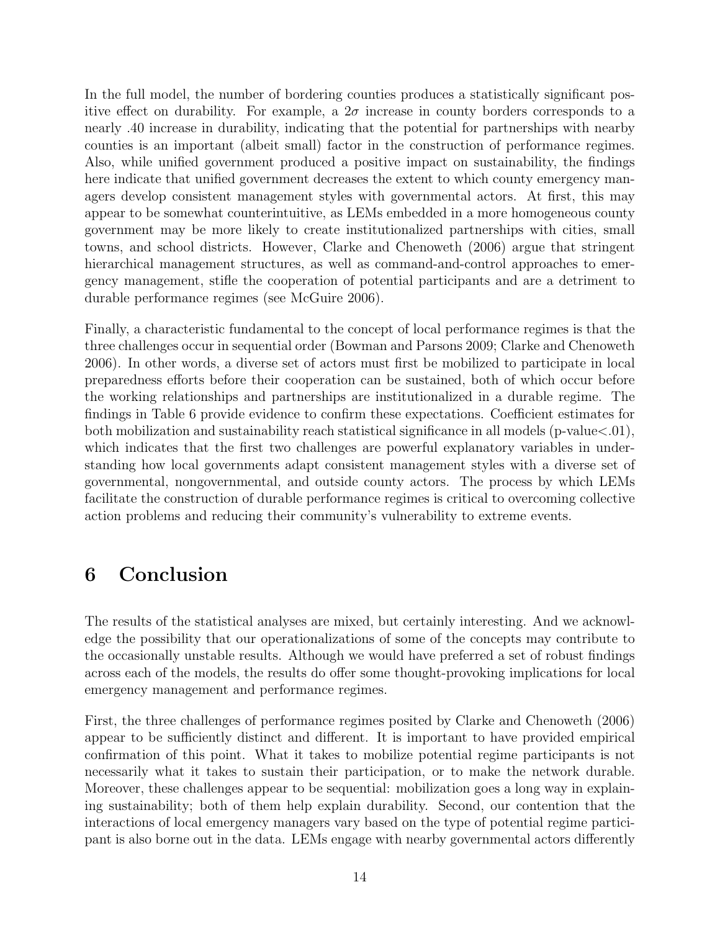In the full model, the number of bordering counties produces a statistically significant positive effect on durability. For example, a  $2\sigma$  increase in county borders corresponds to a nearly .40 increase in durability, indicating that the potential for partnerships with nearby counties is an important (albeit small) factor in the construction of performance regimes. Also, while unified government produced a positive impact on sustainability, the findings here indicate that unified government decreases the extent to which county emergency managers develop consistent management styles with governmental actors. At first, this may appear to be somewhat counterintuitive, as LEMs embedded in a more homogeneous county government may be more likely to create institutionalized partnerships with cities, small towns, and school districts. However, Clarke and Chenoweth (2006) argue that stringent hierarchical management structures, as well as command-and-control approaches to emergency management, stifle the cooperation of potential participants and are a detriment to durable performance regimes (see McGuire 2006).

Finally, a characteristic fundamental to the concept of local performance regimes is that the three challenges occur in sequential order (Bowman and Parsons 2009; Clarke and Chenoweth 2006). In other words, a diverse set of actors must first be mobilized to participate in local preparedness efforts before their cooperation can be sustained, both of which occur before the working relationships and partnerships are institutionalized in a durable regime. The findings in Table 6 provide evidence to confirm these expectations. Coefficient estimates for both mobilization and sustainability reach statistical significance in all models (p-value<.01), which indicates that the first two challenges are powerful explanatory variables in understanding how local governments adapt consistent management styles with a diverse set of governmental, nongovernmental, and outside county actors. The process by which LEMs facilitate the construction of durable performance regimes is critical to overcoming collective action problems and reducing their community's vulnerability to extreme events.

# 6 Conclusion

The results of the statistical analyses are mixed, but certainly interesting. And we acknowledge the possibility that our operationalizations of some of the concepts may contribute to the occasionally unstable results. Although we would have preferred a set of robust findings across each of the models, the results do offer some thought-provoking implications for local emergency management and performance regimes.

First, the three challenges of performance regimes posited by Clarke and Chenoweth (2006) appear to be sufficiently distinct and different. It is important to have provided empirical confirmation of this point. What it takes to mobilize potential regime participants is not necessarily what it takes to sustain their participation, or to make the network durable. Moreover, these challenges appear to be sequential: mobilization goes a long way in explaining sustainability; both of them help explain durability. Second, our contention that the interactions of local emergency managers vary based on the type of potential regime participant is also borne out in the data. LEMs engage with nearby governmental actors differently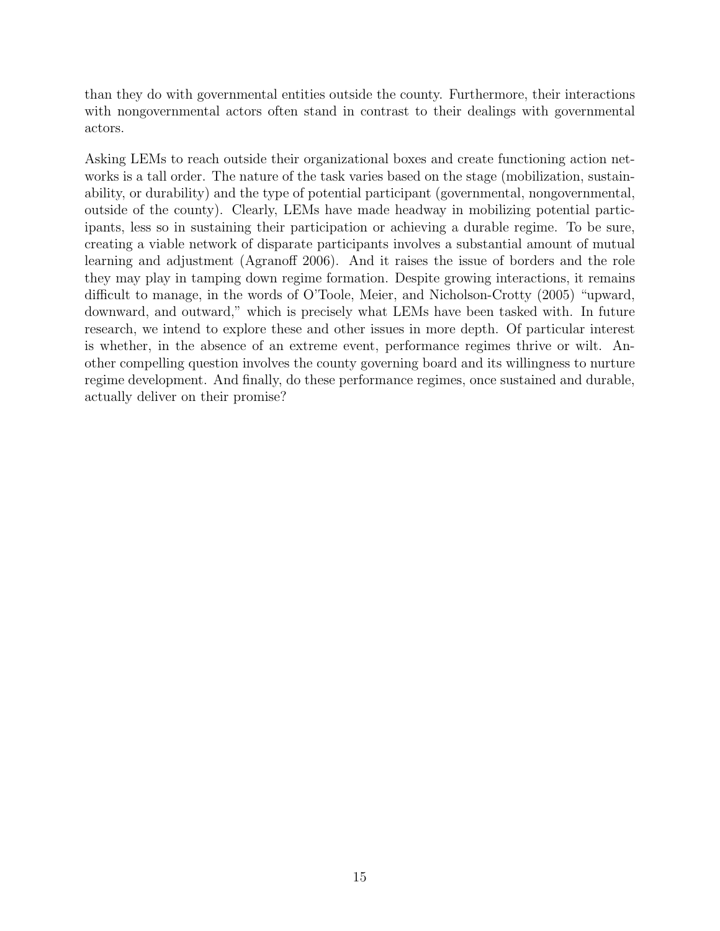than they do with governmental entities outside the county. Furthermore, their interactions with nongovernmental actors often stand in contrast to their dealings with governmental actors.

Asking LEMs to reach outside their organizational boxes and create functioning action networks is a tall order. The nature of the task varies based on the stage (mobilization, sustainability, or durability) and the type of potential participant (governmental, nongovernmental, outside of the county). Clearly, LEMs have made headway in mobilizing potential participants, less so in sustaining their participation or achieving a durable regime. To be sure, creating a viable network of disparate participants involves a substantial amount of mutual learning and adjustment (Agranoff 2006). And it raises the issue of borders and the role they may play in tamping down regime formation. Despite growing interactions, it remains difficult to manage, in the words of O'Toole, Meier, and Nicholson-Crotty (2005) "upward, downward, and outward," which is precisely what LEMs have been tasked with. In future research, we intend to explore these and other issues in more depth. Of particular interest is whether, in the absence of an extreme event, performance regimes thrive or wilt. Another compelling question involves the county governing board and its willingness to nurture regime development. And finally, do these performance regimes, once sustained and durable, actually deliver on their promise?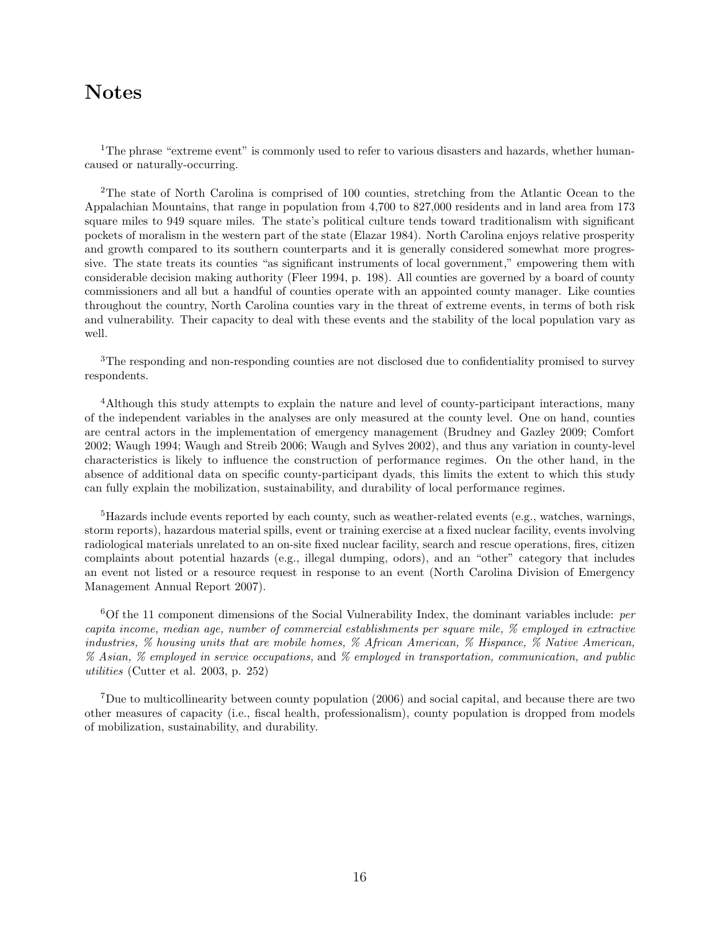### Notes

<sup>1</sup>The phrase "extreme event" is commonly used to refer to various disasters and hazards, whether humancaused or naturally-occurring.

<sup>2</sup>The state of North Carolina is comprised of 100 counties, stretching from the Atlantic Ocean to the Appalachian Mountains, that range in population from 4,700 to 827,000 residents and in land area from 173 square miles to 949 square miles. The state's political culture tends toward traditionalism with significant pockets of moralism in the western part of the state (Elazar 1984). North Carolina enjoys relative prosperity and growth compared to its southern counterparts and it is generally considered somewhat more progressive. The state treats its counties "as significant instruments of local government," empowering them with considerable decision making authority (Fleer 1994, p. 198). All counties are governed by a board of county commissioners and all but a handful of counties operate with an appointed county manager. Like counties throughout the country, North Carolina counties vary in the threat of extreme events, in terms of both risk and vulnerability. Their capacity to deal with these events and the stability of the local population vary as well.

<sup>3</sup>The responding and non-responding counties are not disclosed due to confidentiality promised to survey respondents.

<sup>4</sup>Although this study attempts to explain the nature and level of county-participant interactions, many of the independent variables in the analyses are only measured at the county level. One on hand, counties are central actors in the implementation of emergency management (Brudney and Gazley 2009; Comfort 2002; Waugh 1994; Waugh and Streib 2006; Waugh and Sylves 2002), and thus any variation in county-level characteristics is likely to influence the construction of performance regimes. On the other hand, in the absence of additional data on specific county-participant dyads, this limits the extent to which this study can fully explain the mobilization, sustainability, and durability of local performance regimes.

<sup>5</sup>Hazards include events reported by each county, such as weather-related events (e.g., watches, warnings, storm reports), hazardous material spills, event or training exercise at a fixed nuclear facility, events involving radiological materials unrelated to an on-site fixed nuclear facility, search and rescue operations, fires, citizen complaints about potential hazards (e.g., illegal dumping, odors), and an "other" category that includes an event not listed or a resource request in response to an event (North Carolina Division of Emergency Management Annual Report 2007).

 $60f$  the 11 component dimensions of the Social Vulnerability Index, the dominant variables include: per capita income, median age, number of commercial establishments per square mile, % employed in extractive industries, % housing units that are mobile homes, % African American, % Hispance, % Native American, % Asian, % employed in service occupations, and % employed in transportation, communication, and public utilities (Cutter et al. 2003, p. 252)

<sup>7</sup>Due to multicollinearity between county population (2006) and social capital, and because there are two other measures of capacity (i.e., fiscal health, professionalism), county population is dropped from models of mobilization, sustainability, and durability.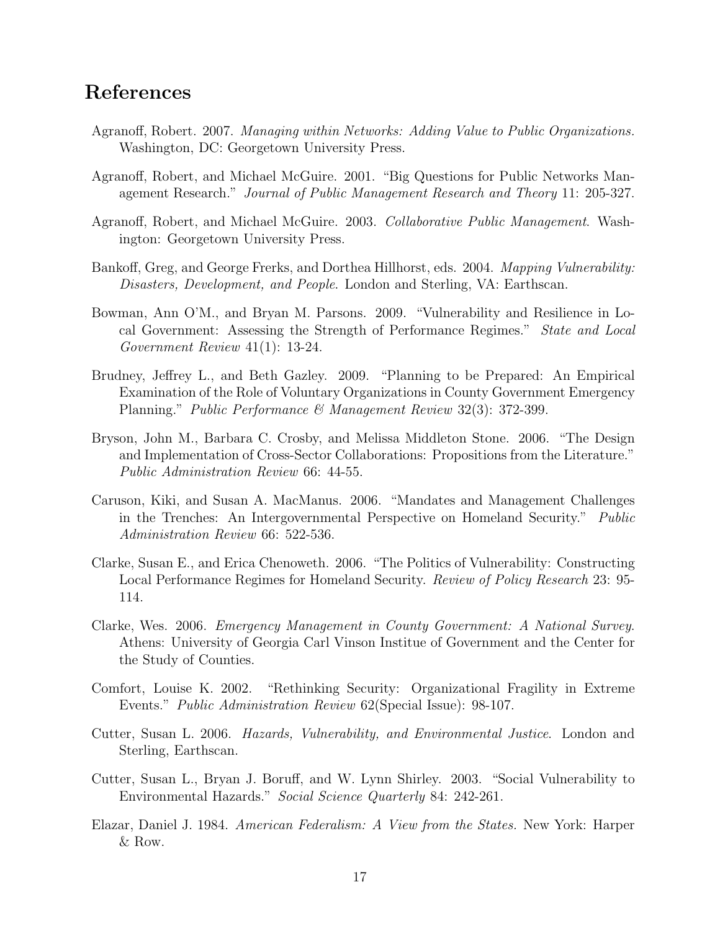### References

- Agranoff, Robert. 2007. Managing within Networks: Adding Value to Public Organizations. Washington, DC: Georgetown University Press.
- Agranoff, Robert, and Michael McGuire. 2001. "Big Questions for Public Networks Management Research." Journal of Public Management Research and Theory 11: 205-327.
- Agranoff, Robert, and Michael McGuire. 2003. Collaborative Public Management. Washington: Georgetown University Press.
- Bankoff, Greg, and George Frerks, and Dorthea Hillhorst, eds. 2004. Mapping Vulnerability: Disasters, Development, and People. London and Sterling, VA: Earthscan.
- Bowman, Ann O'M., and Bryan M. Parsons. 2009. "Vulnerability and Resilience in Local Government: Assessing the Strength of Performance Regimes." State and Local Government Review 41(1): 13-24.
- Brudney, Jeffrey L., and Beth Gazley. 2009. "Planning to be Prepared: An Empirical Examination of the Role of Voluntary Organizations in County Government Emergency Planning." Public Performance & Management Review 32(3): 372-399.
- Bryson, John M., Barbara C. Crosby, and Melissa Middleton Stone. 2006. "The Design and Implementation of Cross-Sector Collaborations: Propositions from the Literature." Public Administration Review 66: 44-55.
- Caruson, Kiki, and Susan A. MacManus. 2006. "Mandates and Management Challenges in the Trenches: An Intergovernmental Perspective on Homeland Security." Public Administration Review 66: 522-536.
- Clarke, Susan E., and Erica Chenoweth. 2006. "The Politics of Vulnerability: Constructing Local Performance Regimes for Homeland Security. Review of Policy Research 23: 95-114.
- Clarke, Wes. 2006. Emergency Management in County Government: A National Survey. Athens: University of Georgia Carl Vinson Institue of Government and the Center for the Study of Counties.
- Comfort, Louise K. 2002. "Rethinking Security: Organizational Fragility in Extreme Events." Public Administration Review 62(Special Issue): 98-107.
- Cutter, Susan L. 2006. Hazards, Vulnerability, and Environmental Justice. London and Sterling, Earthscan.
- Cutter, Susan L., Bryan J. Boruff, and W. Lynn Shirley. 2003. "Social Vulnerability to Environmental Hazards." Social Science Quarterly 84: 242-261.
- Elazar, Daniel J. 1984. American Federalism: A View from the States. New York: Harper & Row.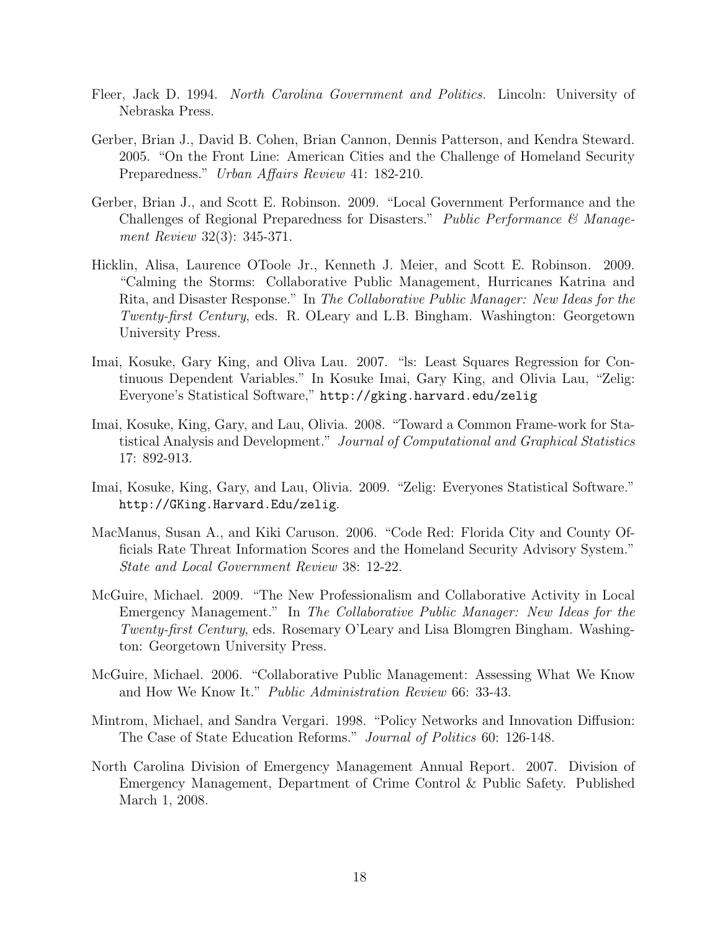- Fleer, Jack D. 1994. North Carolina Government and Politics. Lincoln: University of Nebraska Press.
- Gerber, Brian J., David B. Cohen, Brian Cannon, Dennis Patterson, and Kendra Steward. 2005. "On the Front Line: American Cities and the Challenge of Homeland Security Preparedness." Urban Affairs Review 41: 182-210.
- Gerber, Brian J., and Scott E. Robinson. 2009. "Local Government Performance and the Challenges of Regional Preparedness for Disasters." Public Performance  $\mathcal C$  Management Review 32(3): 345-371.
- Hicklin, Alisa, Laurence OToole Jr., Kenneth J. Meier, and Scott E. Robinson. 2009. "Calming the Storms: Collaborative Public Management, Hurricanes Katrina and Rita, and Disaster Response." In The Collaborative Public Manager: New Ideas for the Twenty-first Century, eds. R. OLeary and L.B. Bingham. Washington: Georgetown University Press.
- Imai, Kosuke, Gary King, and Oliva Lau. 2007. "ls: Least Squares Regression for Continuous Dependent Variables." In Kosuke Imai, Gary King, and Olivia Lau, "Zelig: Everyone's Statistical Software," http://gking.harvard.edu/zelig
- Imai, Kosuke, King, Gary, and Lau, Olivia. 2008. "Toward a Common Frame-work for Statistical Analysis and Development." Journal of Computational and Graphical Statistics 17: 892-913.
- Imai, Kosuke, King, Gary, and Lau, Olivia. 2009. "Zelig: Everyones Statistical Software." http://GKing.Harvard.Edu/zelig.
- MacManus, Susan A., and Kiki Caruson. 2006. "Code Red: Florida City and County Officials Rate Threat Information Scores and the Homeland Security Advisory System." State and Local Government Review 38: 12-22.
- McGuire, Michael. 2009. "The New Professionalism and Collaborative Activity in Local Emergency Management." In The Collaborative Public Manager: New Ideas for the Twenty-first Century, eds. Rosemary O'Leary and Lisa Blomgren Bingham. Washington: Georgetown University Press.
- McGuire, Michael. 2006. "Collaborative Public Management: Assessing What We Know and How We Know It." Public Administration Review 66: 33-43.
- Mintrom, Michael, and Sandra Vergari. 1998. "Policy Networks and Innovation Diffusion: The Case of State Education Reforms." Journal of Politics 60: 126-148.
- North Carolina Division of Emergency Management Annual Report. 2007. Division of Emergency Management, Department of Crime Control & Public Safety. Published March 1, 2008.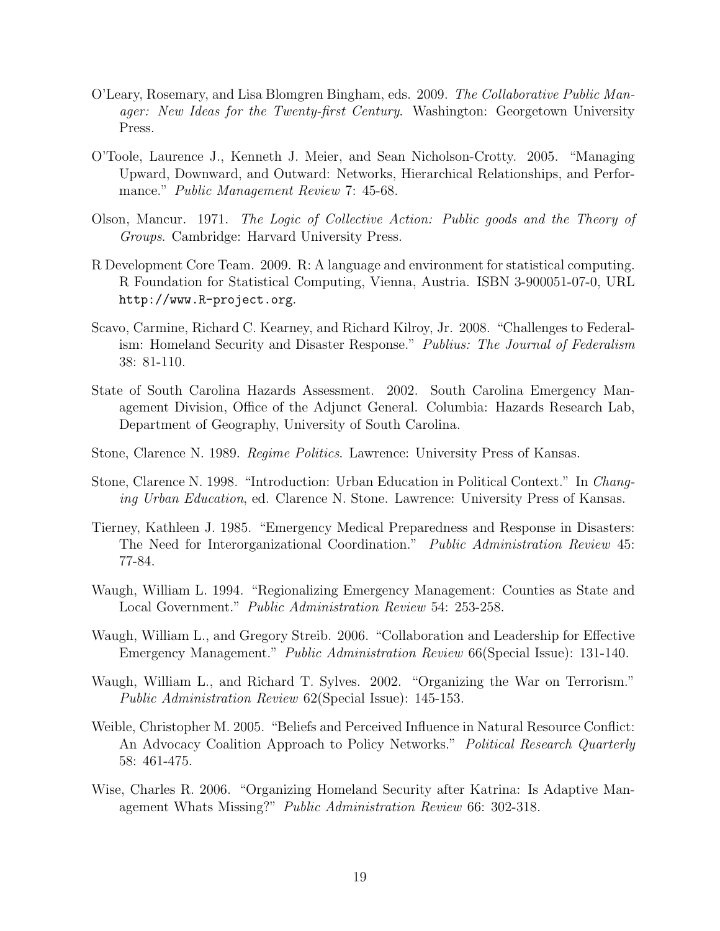- O'Leary, Rosemary, and Lisa Blomgren Bingham, eds. 2009. The Collaborative Public Manager: New Ideas for the Twenty-first Century. Washington: Georgetown University Press.
- O'Toole, Laurence J., Kenneth J. Meier, and Sean Nicholson-Crotty. 2005. "Managing Upward, Downward, and Outward: Networks, Hierarchical Relationships, and Performance." *Public Management Review* 7: 45-68.
- Olson, Mancur. 1971. The Logic of Collective Action: Public goods and the Theory of Groups. Cambridge: Harvard University Press.
- R Development Core Team. 2009. R: A language and environment for statistical computing. R Foundation for Statistical Computing, Vienna, Austria. ISBN 3-900051-07-0, URL http://www.R-project.org.
- Scavo, Carmine, Richard C. Kearney, and Richard Kilroy, Jr. 2008. "Challenges to Federalism: Homeland Security and Disaster Response." Publius: The Journal of Federalism 38: 81-110.
- State of South Carolina Hazards Assessment. 2002. South Carolina Emergency Management Division, Office of the Adjunct General. Columbia: Hazards Research Lab, Department of Geography, University of South Carolina.
- Stone, Clarence N. 1989. Regime Politics. Lawrence: University Press of Kansas.
- Stone, Clarence N. 1998. "Introduction: Urban Education in Political Context." In Changing Urban Education, ed. Clarence N. Stone. Lawrence: University Press of Kansas.
- Tierney, Kathleen J. 1985. "Emergency Medical Preparedness and Response in Disasters: The Need for Interorganizational Coordination." Public Administration Review 45: 77-84.
- Waugh, William L. 1994. "Regionalizing Emergency Management: Counties as State and Local Government." Public Administration Review 54: 253-258.
- Waugh, William L., and Gregory Streib. 2006. "Collaboration and Leadership for Effective Emergency Management." Public Administration Review 66(Special Issue): 131-140.
- Waugh, William L., and Richard T. Sylves. 2002. "Organizing the War on Terrorism." Public Administration Review 62(Special Issue): 145-153.
- Weible, Christopher M. 2005. "Beliefs and Perceived Influence in Natural Resource Conflict: An Advocacy Coalition Approach to Policy Networks." Political Research Quarterly 58: 461-475.
- Wise, Charles R. 2006. "Organizing Homeland Security after Katrina: Is Adaptive Management Whats Missing?" Public Administration Review 66: 302-318.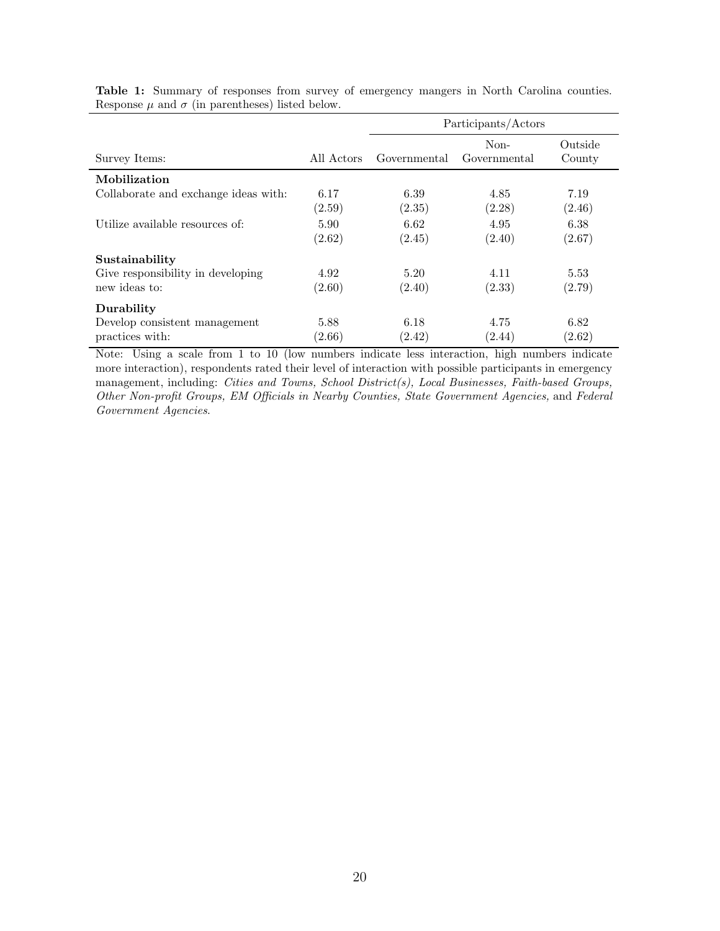|                                                    |                | Participants/Actors |                      |                   |
|----------------------------------------------------|----------------|---------------------|----------------------|-------------------|
| Survey Items:                                      | All Actors     | Governmental        | Non-<br>Governmental | Outside<br>County |
| Mobilization                                       |                |                     |                      |                   |
| Collaborate and exchange ideas with:               | 6.17<br>(2.59) | 6.39<br>(2.35)      | 4.85<br>(2.28)       | 7.19<br>(2.46)    |
| Utilize available resources of:                    | 5.90<br>(2.62) | 6.62<br>(2.45)      | 4.95<br>(2.40)       | 6.38<br>(2.67)    |
| Sustainability                                     |                |                     |                      |                   |
| Give responsibility in developing<br>new ideas to: | 4.92<br>(2.60) | 5.20<br>(2.40)      | 4.11<br>(2.33)       | 5.53<br>(2.79)    |
| Durability                                         |                |                     |                      |                   |
| Develop consistent management<br>practices with:   | 5.88<br>(2.66) | 6.18<br>(2.42)      | 4.75<br>(2.44)       | 6.82<br>(2.62)    |

Table 1: Summary of responses from survey of emergency mangers in North Carolina counties. Response  $\mu$  and  $\sigma$  (in parentheses) listed below.

Note: Using a scale from 1 to 10 (low numbers indicate less interaction, high numbers indicate more interaction), respondents rated their level of interaction with possible participants in emergency management, including: Cities and Towns, School District(s), Local Businesses, Faith-based Groups, Other Non-profit Groups, EM Officials in Nearby Counties, State Government Agencies, and Federal Government Agencies.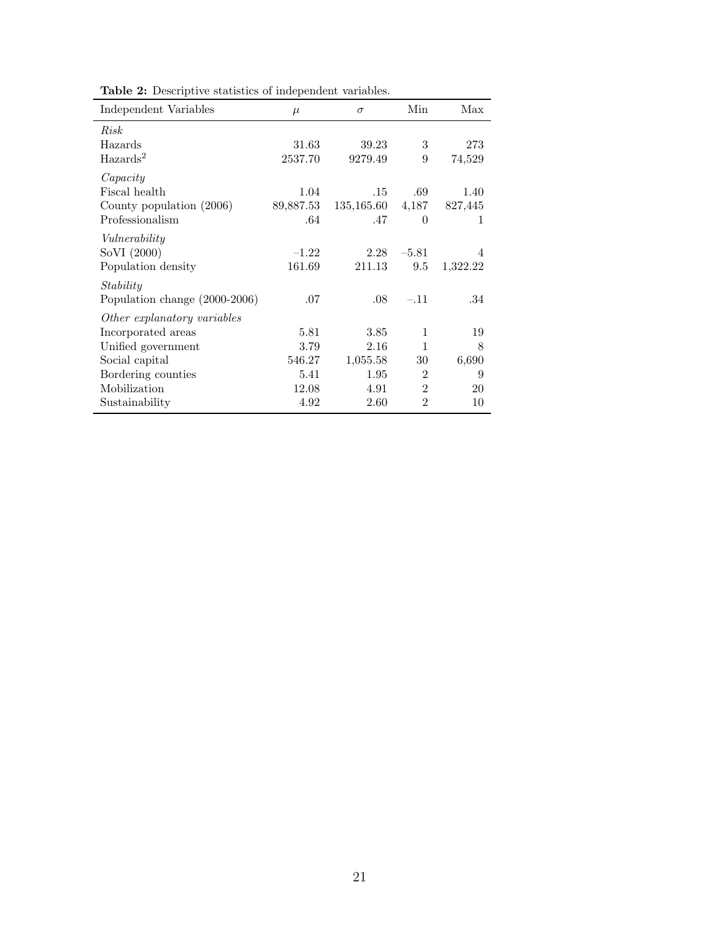| Independent Variables         | $\mu$     | $\sigma$   | Min            | Max            |
|-------------------------------|-----------|------------|----------------|----------------|
| Risk                          |           |            |                |                |
| Hazards                       | 31.63     | 39.23      | 3              | 273            |
| $\text{Hazards}^2$            | 2537.70   | 9279.49    | 9              | 74,529         |
| Capacity                      |           |            |                |                |
| Fiscal health                 | 1.04      | .15        | .69            | 1.40           |
| County population $(2006)$    | 89,887.53 | 135,165.60 | 4,187          | 827,445        |
| Professionalism               | .64       | .47        | $\theta$       | 1              |
| Vulnerability                 |           |            |                |                |
| SoVI (2000)                   | $-1.22$   | 2.28       | $-5.81$        | $\overline{4}$ |
| Population density            | 161.69    | 211.13     | 9.5            | 1,322.22       |
| Stability                     |           |            |                |                |
| Population change (2000-2006) | .07       | .08        | $-.11$         | .34            |
| Other explanatory variables   |           |            |                |                |
| Incorporated areas            | 5.81      | 3.85       | 1              | 19             |
| Unified government            | 3.79      | 2.16       | $\mathbf{1}$   | 8              |
| Social capital                | 546.27    | 1,055.58   | 30             | 6,690          |
| Bordering counties            | 5.41      | 1.95       | $\overline{2}$ | 9              |
| Mobilization                  | 12.08     | 4.91       | $\overline{2}$ | 20             |
| Sustainability                | 4.92      | 2.60       | $\overline{2}$ | 10             |

Table 2: Descriptive statistics of independent variables.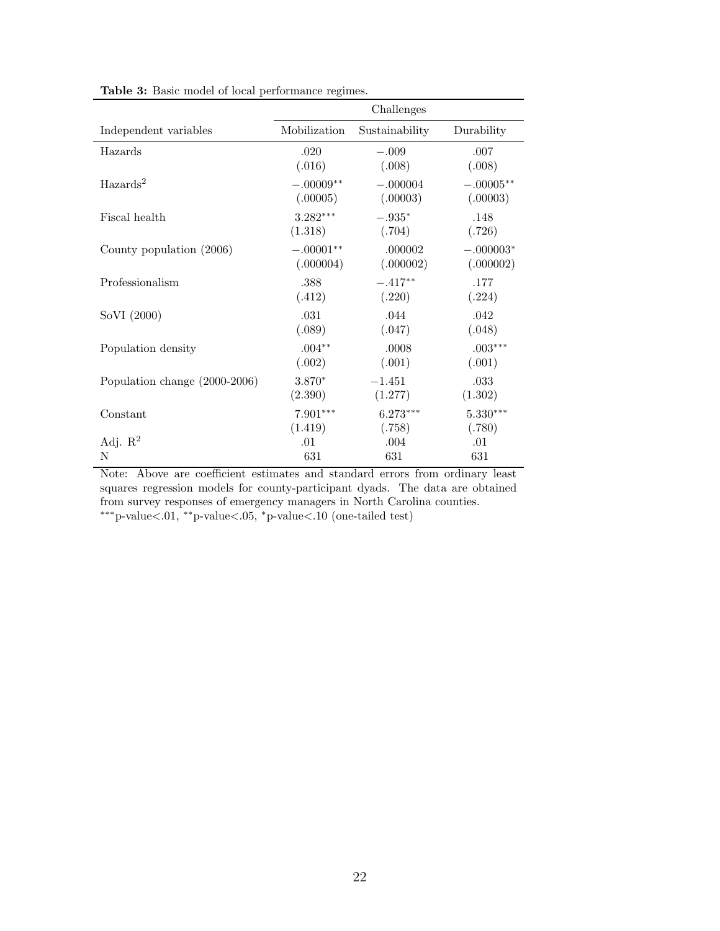|                               | Challenges   |                |             |  |
|-------------------------------|--------------|----------------|-------------|--|
| Independent variables         | Mobilization | Sustainability | Durability  |  |
| Hazards                       | .020         | $-.009$        | .007        |  |
|                               | (.016)       | (.008)         | (.008)      |  |
| $\text{Hazards}^2$            | $-.00009**$  | $-.000004$     | $-.00005**$ |  |
|                               | (.00005)     | (.00003)       | (.00003)    |  |
| Fiscal health                 | $3.282***$   | $-.935*$       | .148        |  |
|                               | (1.318)      | (.704)         | (.726)      |  |
| County population (2006)      | $-.00001**$  | .000002        | $-.000003*$ |  |
|                               | (.000004)    | (.000002)      | (.000002)   |  |
| Professionalism               | .388         | $-.417**$      | .177        |  |
|                               | (.412)       | (.220)         | (.224)      |  |
| SoVI (2000)                   | .031         | .044           | .042        |  |
|                               | (.089)       | (.047)         | (.048)      |  |
| Population density            | $.004**$     | .0008          | $.003***$   |  |
|                               | (.002)       | (.001)         | (.001)      |  |
| Population change (2000-2006) | 3.870*       | $-1.451$       | .033        |  |
|                               | (2.390)      | (1.277)        | (1.302)     |  |
| Constant                      | $7.901***$   | $6.273***$     | $5.330***$  |  |
|                               | (1.419)      | (.758)         | (.780)      |  |
| Adj. $\mathbb{R}^2$           | .01          | .004           | .01         |  |
| N                             | 631          | 631            | 631         |  |

Table 3: Basic model of local performance regimes.

Note: Above are coefficient estimates and standard errors from ordinary least squares regression models for county-participant dyads. The data are obtained from survey responses of emergency managers in North Carolina counties. ∗∗∗p-value<.01, ∗∗p-value<.05, <sup>∗</sup>p-value<.10 (one-tailed test)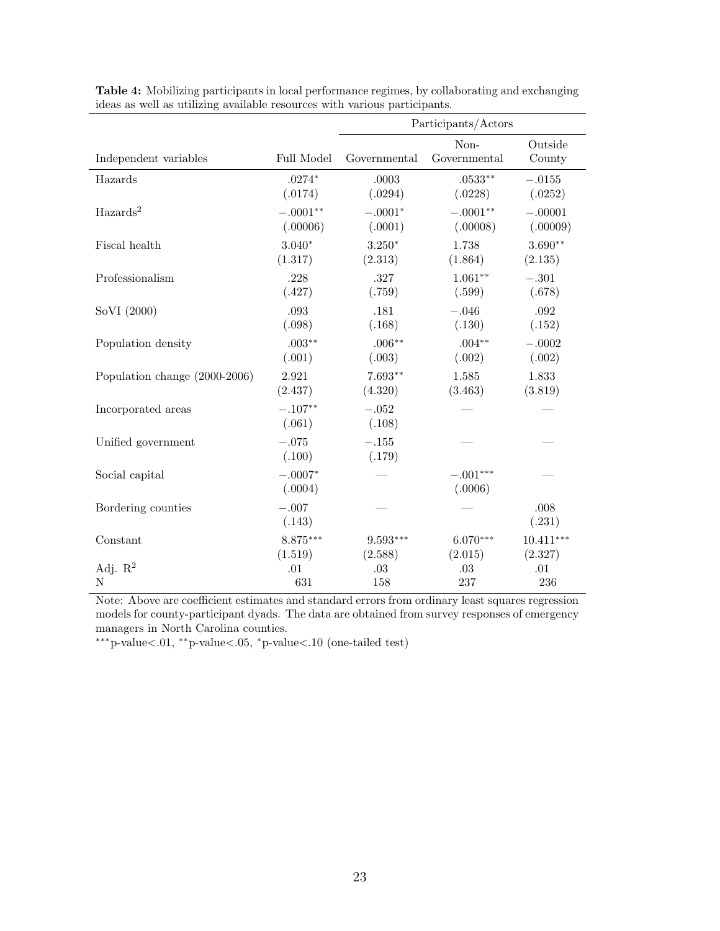|                               |                      | Participants/Actors |                       |                   |
|-------------------------------|----------------------|---------------------|-----------------------|-------------------|
| Independent variables         | Full Model           | Governmental        | Non-<br>Governmental  | Outside<br>County |
| Hazards                       | $.0274*$             | .0003               | $.0533**$             | $-.0155$          |
|                               | (.0174)              | (.0294)             | (.0228)               | (.0252)           |
| $\text{Hazards}^2$            | $-.0001**$           | $-.0001*$           | $-.0001**$            | $-.00001$         |
|                               | (.00006)             | (.0001)             | (.00008)              | (.00009)          |
| Fiscal health                 | $3.040*$             | $3.250*$            | 1.738                 | $3.690**$         |
|                               | (1.317)              | (2.313)             | (1.864)               | (2.135)           |
| Professionalism               | .228                 | .327                | $1.061**$             | $-.301$           |
|                               | (.427)               | (.759)              | (.599)                | (.678)            |
| SoVI (2000)                   | .093                 | .181                | $-.046$               | .092              |
|                               | (.098)               | (.168)              | (.130)                | (.152)            |
| Population density            | $.003**$             | $.006**$            | $.004**$              | $-.0002$          |
|                               | (.001)               | (.003)              | (.002)                | (.002)            |
| Population change (2000-2006) | 2.921                | $7.693**$           | 1.585                 | 1.833             |
|                               | (2.437)              | (4.320)             | (3.463)               | (3.819)           |
| Incorporated areas            | $-.107**$<br>(.061)  | $-.052\,$<br>(.108) |                       |                   |
| Unified government            | $-.075\,$<br>(.100)  | $-.155$<br>(.179)   |                       |                   |
| Social capital                | $-.0007*$<br>(.0004) |                     | $-.001***$<br>(.0006) |                   |
| Bordering counties            | $-.007$<br>(.143)    |                     |                       | .008<br>(.231)    |
| Constant                      | 8.875***             | $9.593***$          | $6.070***$            | $10.411***$       |
|                               | (1.519)              | (2.588)             | (2.015)               | (2.327)           |
| Adj. $\mathbb{R}^2$           | .01                  | .03                 | .03                   | .01               |
| Ν                             | 631                  | 158                 | 237                   | 236               |

Table 4: Mobilizing participants in local performance regimes, by collaborating and exchanging ideas as well as utilizing available resources with various participants.

Note: Above are coefficient estimates and standard errors from ordinary least squares regression models for county-participant dyads. The data are obtained from survey responses of emergency managers in North Carolina counties.

∗∗∗p-value<.01, ∗∗p-value<.05, <sup>∗</sup>p-value<.10 (one-tailed test)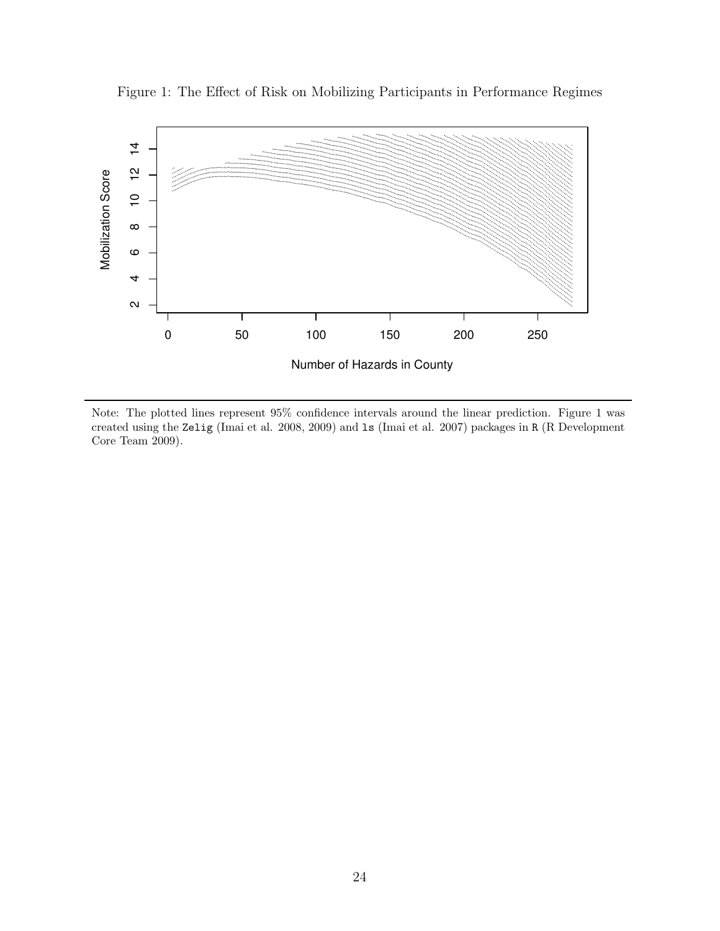

Figure 1: The Effect of Risk on Mobilizing Participants in Performance Regimes

Note: The plotted lines represent 95% confidence intervals around the linear prediction. Figure 1 was created using the Zelig (Imai et al. 2008, 2009) and ls (Imai et al. 2007) packages in R (R Development Core Team 2009).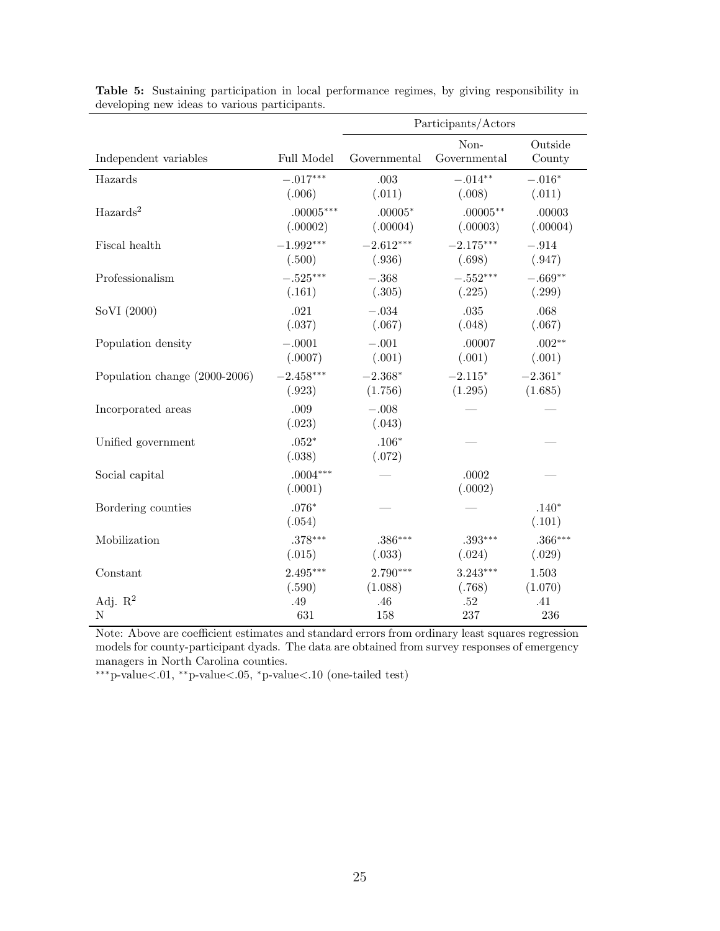|                               |                       | Participants/Actors |                      |                   |
|-------------------------------|-----------------------|---------------------|----------------------|-------------------|
| Independent variables         | Full Model            | Governmental        | Non-<br>Governmental | Outside<br>County |
| Hazards                       | $-.017***$            | .003                | $-.014**$            | $-.016*$          |
|                               | (.006)                | (.011)              | (.008)               | (.011)            |
| $\text{Hazards}^2$            | $.00005***$           | $.00005*$           | $.00005***$          | .00003            |
|                               | (.00002)              | (.00004)            | (.00003)             | (.00004)          |
| Fiscal health                 | $-1.992***$           | $-2.612***$         | $-2.175***$          | $-.914$           |
|                               | (.500)                | (.936)              | (.698)               | (.947)            |
| Professionalism               | $-.525***$            | $-.368$             | $-.552^{***}\,$      | $-.669**$         |
|                               | (.161)                | (.305)              | (.225)               | (.299)            |
| SoVI (2000)                   | .021                  | $-.034$             | .035                 | .068              |
|                               | (.037)                | (.067)              | (.048)               | (.067)            |
| Population density            | $-.0001$              | $-.001$             | .00007               | $.002**$          |
|                               | (.0007)               | (.001)              | (.001)               | (.001)            |
| Population change (2000-2006) | $-2.458***$           | $-2.368*$           | $-2.115*$            | $-2.361*$         |
|                               | (.923)                | (1.756)             | (1.295)              | (1.685)           |
| Incorporated areas            | .009<br>(.023)        | $-.008$<br>(.043)   |                      |                   |
| Unified government            | $.052*$<br>(.038)     | $.106*$<br>(.072)   |                      |                   |
| Social capital                | $.0004***$<br>(.0001) |                     | .0002<br>(.0002)     |                   |
| Bordering counties            | $.076*$<br>(.054)     |                     |                      | $.140*$<br>(.101) |
| Mobilization                  | $.378***$             | $.386***$           | $.393***$            | $.366***$         |
|                               | (.015)                | (.033)              | (.024)               | (.029)            |
| Constant                      | $2.495***$            | $2.790***$          | $3.243***$           | 1.503             |
|                               | (.590)                | (1.088)             | (.768)               | (1.070)           |
| Adj. $R^2$                    | .49                   | .46                 | .52                  | .41               |
| N                             | 631                   | 158                 | 237                  | 236               |

Table 5: Sustaining participation in local performance regimes, by giving responsibility in developing new ideas to various participants.

Note: Above are coefficient estimates and standard errors from ordinary least squares regression models for county-participant dyads. The data are obtained from survey responses of emergency managers in North Carolina counties.

∗∗∗p-value<.01, ∗∗p-value<.05, <sup>∗</sup>p-value<.10 (one-tailed test)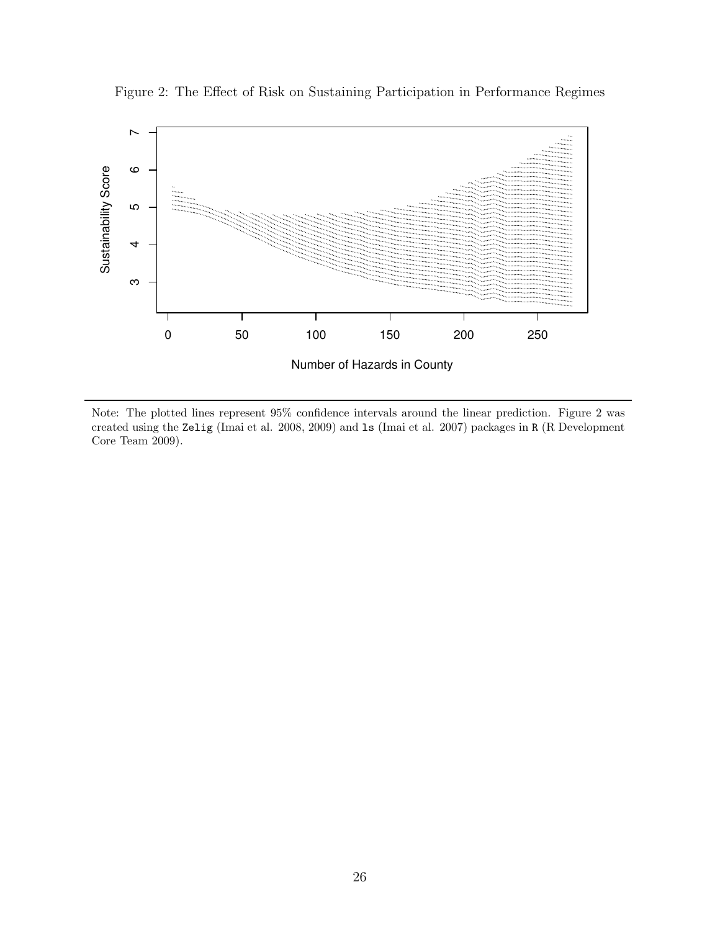

Figure 2: The Effect of Risk on Sustaining Participation in Performance Regimes

Note: The plotted lines represent 95% confidence intervals around the linear prediction. Figure 2 was created using the Zelig (Imai et al. 2008, 2009) and ls (Imai et al. 2007) packages in R (R Development Core Team 2009).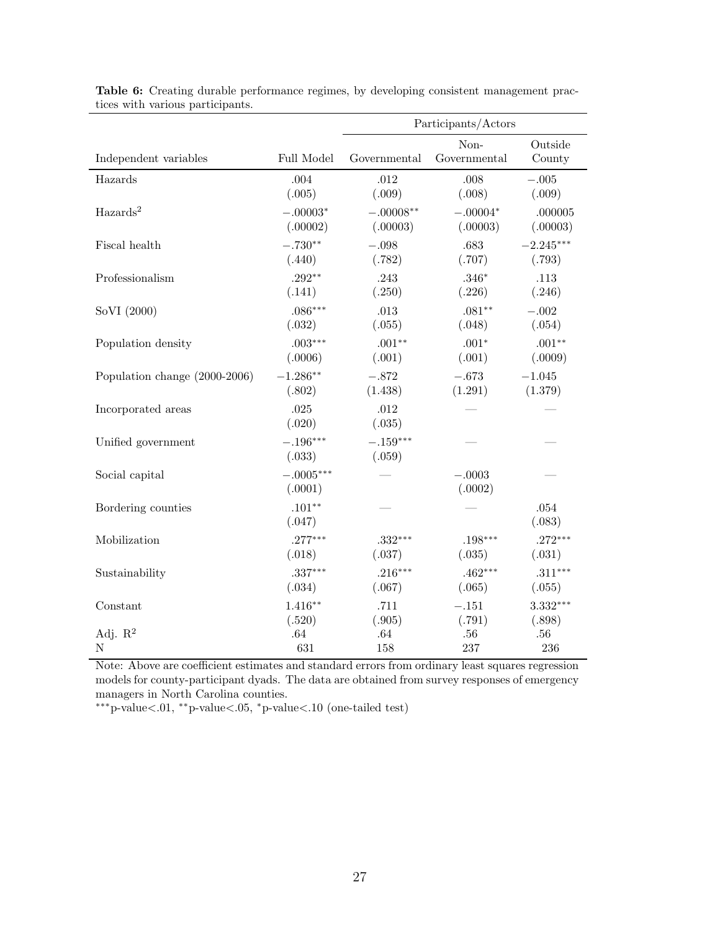|                               |                        | Participants/Actors  |                      |                   |
|-------------------------------|------------------------|----------------------|----------------------|-------------------|
| Independent variables         | Full Model             | Governmental         | Non-<br>Governmental | Outside<br>County |
| Hazards                       | .004                   | .012                 | .008                 | $-.005$           |
|                               | (.005)                 | (.009)               | (.008)               | (.009)            |
| $\text{Hazards}^2$            | $-.00003*$             | $-.00008**$          | $-.00004*$           | .000005           |
|                               | (.00002)               | (.00003)             | (.00003)             | (.00003)          |
| Fiscal health                 | $-.730**$              | $-.098$              | .683                 | $-2.245***$       |
|                               | (.440)                 | (.782)               | (.707)               | (.793)            |
| Professionalism               | $.292**$               | .243                 | $.346*$              | .113              |
|                               | (.141)                 | (.250)               | (.226)               | (.246)            |
| SoVI (2000)                   | $.086***$              | .013                 | $.081**$             | $-.002$           |
|                               | (.032)                 | (.055)               | (.048)               | (.054)            |
| Population density            | $.003***$              | $.001**$             | $.001*$              | $.001**$          |
|                               | (.0006)                | (.001)               | (.001)               | (.0009)           |
| Population change (2000-2006) | $-1.286**$             | $-.872$              | $-.673$              | $-1.045$          |
|                               | (.802)                 | (1.438)              | (1.291)              | (1.379)           |
| Incorporated areas            | .025<br>(.020)         | .012<br>(.035)       |                      |                   |
| Unified government            | $-.196***$<br>(.033)   | $-.159***$<br>(.059) |                      |                   |
| Social capital                | $-.0005***$<br>(.0001) |                      | $-.0003$<br>(.0002)  |                   |
| Bordering counties            | $.101**$<br>(.047)     |                      |                      | .054<br>(.083)    |
| Mobilization                  | $.277***$              | $.332***$            | $.198***$            | $.272***$         |
|                               | (.018)                 | (.037)               | (.035)               | (.031)            |
| Sustainability                | $.337***$              | $.216***$            | $.462***$            | $.311***$         |
|                               | (.034)                 | (.067)               | (.065)               | (.055)            |
| Constant                      | $1.416**$              | .711                 | $-.151$              | $3.332***$        |
|                               | (.520)                 | (.905)               | (.791)               | (.898)            |
| Adj. $R^2$                    | .64                    | .64                  | .56                  | $.56\,$           |
| N                             | 631                    | 158                  | 237                  | 236               |

Table 6: Creating durable performance regimes, by developing consistent management practices with various participants.

Note: Above are coefficient estimates and standard errors from ordinary least squares regression models for county-participant dyads. The data are obtained from survey responses of emergency managers in North Carolina counties.

∗∗∗p-value<.01, ∗∗p-value<.05, <sup>∗</sup>p-value<.10 (one-tailed test)